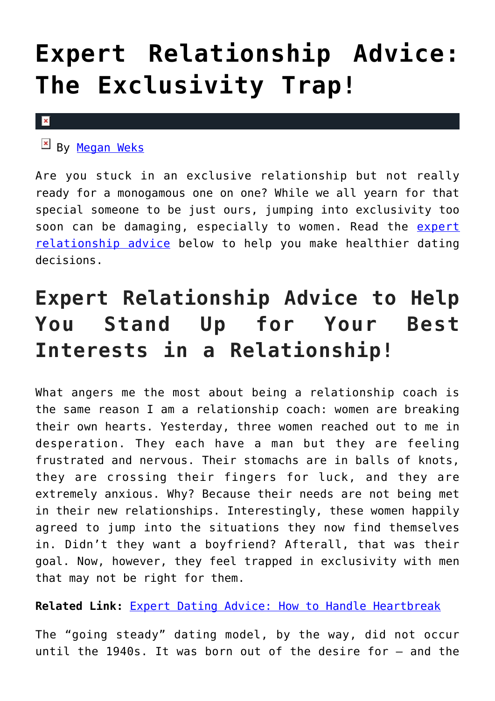## **[Expert Relationship Advice:](https://cupidspulse.com/125125/expert-relationship-advice-the-exclusivity-trap/) [The Exclusivity Trap!](https://cupidspulse.com/125125/expert-relationship-advice-the-exclusivity-trap/)**

#### $\pmb{\times}$

 $\mathbb{F}$  By [Megan Weks](http://cupidspulse.com/relationship-experts/megan-weks/)

Are you stuck in an exclusive relationship but not really ready for a monogamous one on one? While we all yearn for that special someone to be just ours, jumping into exclusivity too soon can be damaging, especially to women. Read the [expert](http://cupidspulse.com/relationship-experts/) [relationship advice](http://cupidspulse.com/relationship-experts/) below to help you make healthier dating decisions.

### **Expert Relationship Advice to Help You Stand Up for Your Best Interests in a Relationship!**

What angers me the most about being a relationship coach is the same reason I am a relationship coach: women are breaking their own hearts. Yesterday, three women reached out to me in desperation. They each have a man but they are feeling frustrated and nervous. Their stomachs are in balls of knots, they are crossing their fingers for luck, and they are extremely anxious. Why? Because their needs are not being met in their new relationships. Interestingly, these women happily agreed to jump into the situations they now find themselves in. Didn't they want a boyfriend? Afterall, that was their goal. Now, however, they feel trapped in exclusivity with men that may not be right for them.

**Related Link:** [Expert Dating Advice: How to Handle Heartbreak](http://cupidspulse.com/123523/expert-dating-advice-heartbreak-the-bachelor/)

The "going steady" dating model, by the way, did not occur until the 1940s. It was born out of the desire for — and the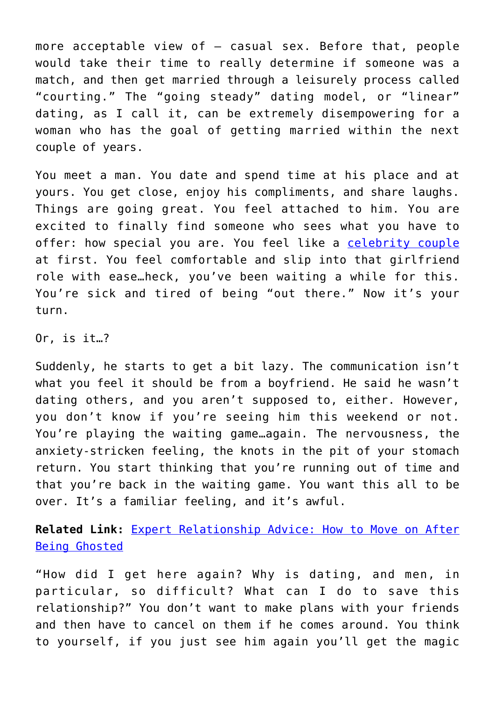more acceptable view of — casual sex. Before that, people would take their time to really determine if someone was a match, and then get married through a leisurely process called "courting." The "going steady" dating model, or "linear" dating, as I call it, can be extremely disempowering for a woman who has the goal of getting married within the next couple of years.

You meet a man. You date and spend time at his place and at yours. You get close, enjoy his compliments, and share laughs. Things are going great. You feel attached to him. You are excited to finally find someone who sees what you have to offer: how special you are. You feel like a [celebrity couple](http://cupidspulse.com/celebrity-news/celebrity-dating/) at first. You feel comfortable and slip into that girlfriend role with ease…heck, you've been waiting a while for this. You're sick and tired of being "out there." Now it's your turn.

Or, is it…?

Suddenly, he starts to get a bit lazy. The communication isn't what you feel it should be from a boyfriend. He said he wasn't dating others, and you aren't supposed to, either. However, you don't know if you're seeing him this weekend or not. You're playing the waiting game…again. The nervousness, the anxiety-stricken feeling, the knots in the pit of your stomach return. You start thinking that you're running out of time and that you're back in the waiting game. You want this all to be over. It's a familiar feeling, and it's awful.

**Related Link:** [Expert Relationship Advice: How to Move on After](http://cupidspulse.com/124119/expert-relationship-advice-move-on-after-being-ghosted/) [Being Ghosted](http://cupidspulse.com/124119/expert-relationship-advice-move-on-after-being-ghosted/)

"How did I get here again? Why is dating, and men, in particular, so difficult? What can I do to save this relationship?" You don't want to make plans with your friends and then have to cancel on them if he comes around. You think to yourself, if you just see him again you'll get the magic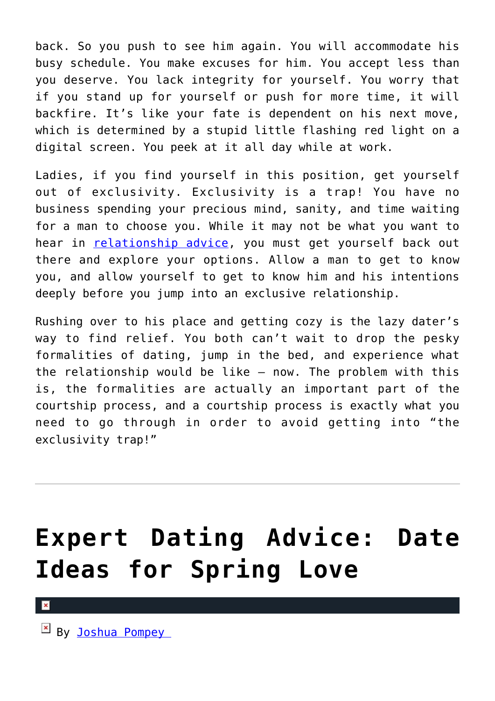back. So you push to see him again. You will accommodate his busy schedule. You make excuses for him. You accept less than you deserve. You lack integrity for yourself. You worry that if you stand up for yourself or push for more time, it will backfire. It's like your fate is dependent on his next move, which is determined by a stupid little flashing red light on a digital screen. You peek at it all day while at work.

Ladies, if you find yourself in this position, get yourself out of exclusivity. Exclusivity is a trap! You have no business spending your precious mind, sanity, and time waiting for a man to choose you. While it may not be what you want to hear in [relationship advice](http://cupidspulse.com/relationship-experts/), you must get yourself back out there and explore your options. Allow a man to get to know you, and allow yourself to get to know him and his intentions deeply before you jump into an exclusive relationship.

Rushing over to his place and getting cozy is the lazy dater's way to find relief. You both can't wait to drop the pesky formalities of dating, jump in the bed, and experience what the relationship would be like — now. The problem with this is, the formalities are actually an important part of the courtship process, and a courtship process is exactly what you need to go through in order to avoid getting into "the exclusivity trap!"

## **[Expert Dating Advice: Date](https://cupidspulse.com/124781/expert-dating-advice-date-ideas-spring/) [Ideas for Spring Love](https://cupidspulse.com/124781/expert-dating-advice-date-ideas-spring/)**

 $\mathbb{E}$  By Joshua Pompey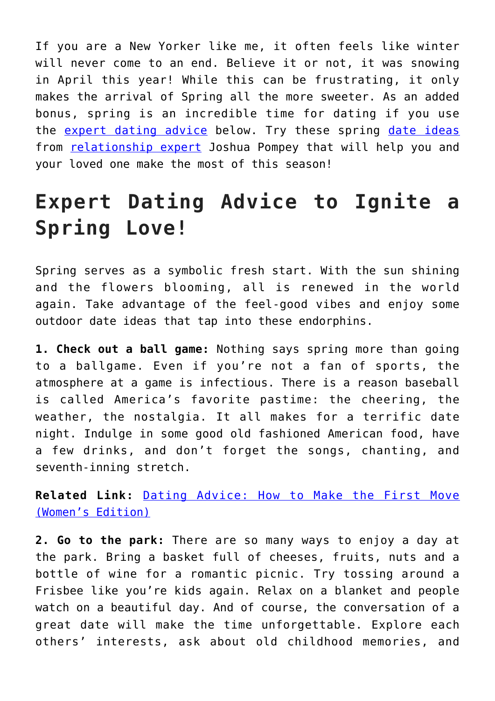If you are a New Yorker like me, it often feels like winter will never come to an end. Believe it or not, it was snowing in April this year! While this can be frustrating, it only makes the arrival of Spring all the more sweeter. As an added bonus, spring is an incredible time for dating if you use the [expert dating advice](http://cupidspulse.com/relationship-experts/) below. Try these spring [date ideas](http://cupidspulse.com/celebrity-relationships/long-term-relationships-flings/) from [relationship expert](http://cupidspulse.com/relationship-experts/) Joshua Pompey that will help you and your loved one make the most of this season!

### **Expert Dating Advice to Ignite a Spring Love!**

Spring serves as a symbolic fresh start. With the sun shining and the flowers blooming, all is renewed in the world again. Take advantage of the feel-good vibes and enjoy some outdoor date ideas that tap into these endorphins.

**1. Check out a ball game:** Nothing says spring more than going to a ballgame. Even if you're not a fan of sports, the atmosphere at a game is infectious. There is a reason baseball is called America's favorite pastime: the cheering, the weather, the nostalgia. It all makes for a terrific date night. Indulge in some good old fashioned American food, have a few drinks, and don't forget the songs, chanting, and seventh-inning stretch.

**Related Link:** [Dating Advice: How to Make the First Move](http://cupidspulse.com/119903/dating-advice-make-first-move-womens-edition/) [\(Women's Edition\)](http://cupidspulse.com/119903/dating-advice-make-first-move-womens-edition/)

**2. Go to the park:** There are so many ways to enjoy a day at the park. Bring a basket full of cheeses, fruits, nuts and a bottle of wine for a romantic picnic. Try tossing around a Frisbee like you're kids again. Relax on a blanket and people watch on a beautiful day. And of course, the conversation of a great date will make the time unforgettable. Explore each others' interests, ask about old childhood memories, and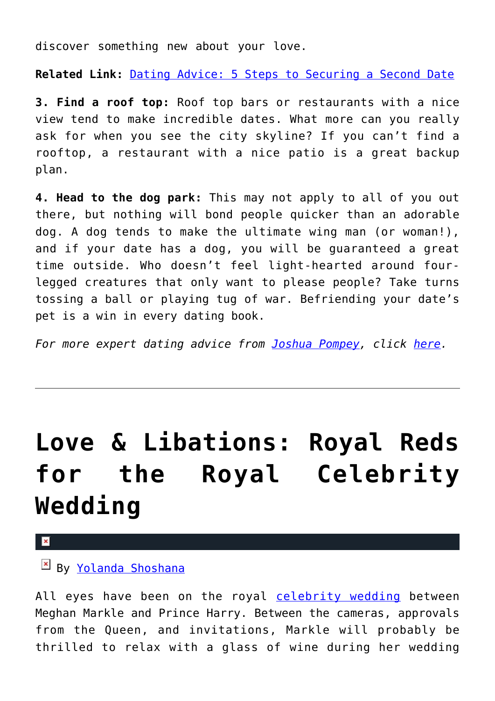discover something new about your love.

**Related Link:** [Dating Advice: 5 Steps to Securing a Second Date](http://cupidspulse.com/108920/dating-advice-securing-second-date/)

**3. Find a roof top:** Roof top bars or restaurants with a nice view tend to make incredible dates. What more can you really ask for when you see the city skyline? If you can't find a rooftop, a restaurant with a nice patio is a great backup plan.

**4. Head to the dog park:** This may not apply to all of you out there, but nothing will bond people quicker than an adorable dog. A dog tends to make the ultimate wing man (or woman!), and if your date has a dog, you will be guaranteed a great time outside. Who doesn't feel light-hearted around fourlegged creatures that only want to please people? Take turns tossing a ball or playing tug of war. Befriending your date's pet is a win in every dating book.

*For more expert dating advice from [Joshua Pompey,](http://cupidspulse.com/relationship-experts/joshua-pompey/) click [here](http://www.nemvip.com/are-professional-matchmakers-worth-the-money).*

# **[Love & Libations: Royal Reds](https://cupidspulse.com/124704/love-libations-reds-royal-celebrity-wedding/) [for the Royal Celebrity](https://cupidspulse.com/124704/love-libations-reds-royal-celebrity-wedding/) [Wedding](https://cupidspulse.com/124704/love-libations-reds-royal-celebrity-wedding/)**

 $\pmb{\times}$ 

By [Yolanda Shoshana](http://cupidspulse.com/relationship-experts/yolanda-shoshana/)

All eyes have been on the royal [celebrity wedding](http://cupidspulse.com/celebrity-relationships/wedding-engagement/) between Meghan Markle and Prince Harry. Between the cameras, approvals from the Queen, and invitations, Markle will probably be thrilled to relax with a glass of wine during her wedding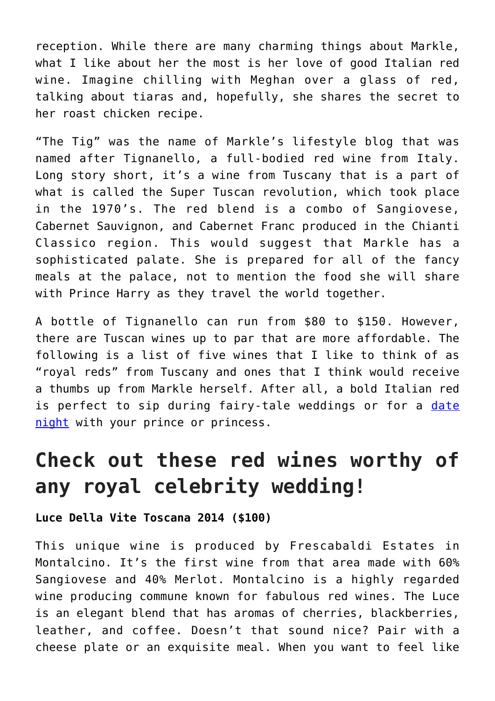reception. While there are many charming things about Markle, what I like about her the most is her love of good Italian red wine. Imagine chilling with Meghan over a glass of red, talking about tiaras and, hopefully, she shares the secret to her roast chicken recipe.

"The Tig" was the name of Markle's lifestyle blog that was named after Tignanello, a full-bodied red wine from Italy. Long story short, it's a wine from Tuscany that is a part of what is called the Super Tuscan revolution, which took place in the 1970's. The red blend is a combo of Sangiovese, Cabernet Sauvignon, and Cabernet Franc produced in the Chianti Classico region. This would suggest that Markle has a sophisticated palate. She is prepared for all of the fancy meals at the palace, not to mention the food she will share with Prince Harry as they travel the world together.

A bottle of Tignanello can run from \$80 to \$150. However, there are Tuscan wines up to par that are more affordable. The following is a list of five wines that I like to think of as "royal reds" from Tuscany and ones that I think would receive a thumbs up from Markle herself. After all, a bold Italian red is perfect to sip during fairy-tale weddings or for a [date](http://cupidspulse.com/dating/date-ideas/) [night](http://cupidspulse.com/dating/date-ideas/) with your prince or princess.

### **Check out these red wines worthy of any royal celebrity wedding!**

### **Luce Della Vite Toscana 2014 (\$100)**

This unique wine is produced by Frescabaldi Estates in Montalcino. It's the first wine from that area made with 60% Sangiovese and 40% Merlot. Montalcino is a highly regarded wine producing commune known for fabulous red wines. The Luce is an elegant blend that has aromas of cherries, blackberries, leather, and coffee. Doesn't that sound nice? Pair with a cheese plate or an exquisite meal. When you want to feel like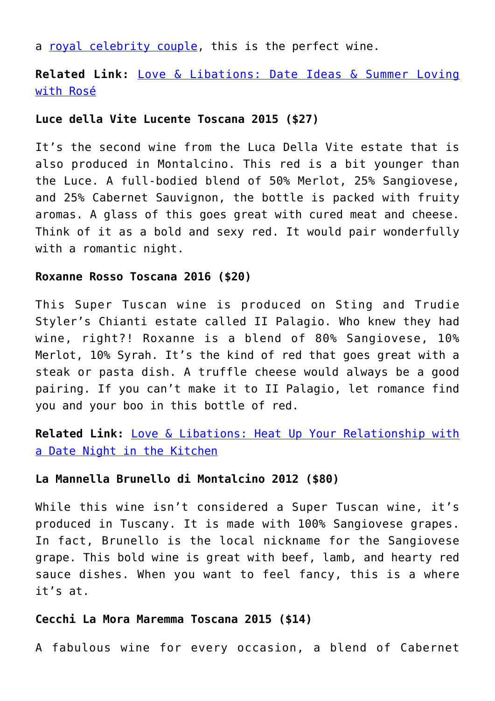a [royal celebrity couple,](http://cupidspulse.com/celebrity-news/celebrity-dating/) this is the perfect wine.

**Related Link:** [Love & Libations: Date Ideas & Summer Loving](http://cupidspulse.com/123747/date-ideas-summer-loving-with-rose/) [with Rosé](http://cupidspulse.com/123747/date-ideas-summer-loving-with-rose/)

#### **Luce della Vite Lucente Toscana 2015 (\$27)**

It's the second wine from the Luca Della Vite estate that is also produced in Montalcino. This red is a bit younger than the Luce. A full-bodied blend of 50% Merlot, 25% Sangiovese, and 25% Cabernet Sauvignon, the bottle is packed with fruity aromas. A glass of this goes great with cured meat and cheese. Think of it as a bold and sexy red. It would pair wonderfully with a romantic night.

#### **Roxanne Rosso Toscana 2016 (\$20)**

This Super Tuscan wine is produced on Sting and Trudie Styler's Chianti estate called II Palagio. Who knew they had wine, right?! Roxanne is a blend of 80% Sangiovese, 10% Merlot, 10% Syrah. It's the kind of red that goes great with a steak or pasta dish. A truffle cheese would always be a good pairing. If you can't make it to II Palagio, let romance find you and your boo in this bottle of red.

**Related Link:** [Love & Libations: Heat Up Your Relationship with](http://cupidspulse.com/123332/date-night-in-the-kitchen/) [a Date Night in the Kitchen](http://cupidspulse.com/123332/date-night-in-the-kitchen/)

#### **La Mannella Brunello di Montalcino 2012 (\$80)**

While this wine isn't considered a Super Tuscan wine, it's produced in Tuscany. It is made with 100% Sangiovese grapes. In fact, Brunello is the local nickname for the Sangiovese grape. This bold wine is great with beef, lamb, and hearty red sauce dishes. When you want to feel fancy, this is a where it's at.

#### **Cecchi La Mora Maremma Toscana 2015 (\$14)**

A fabulous wine for every occasion, a blend of Cabernet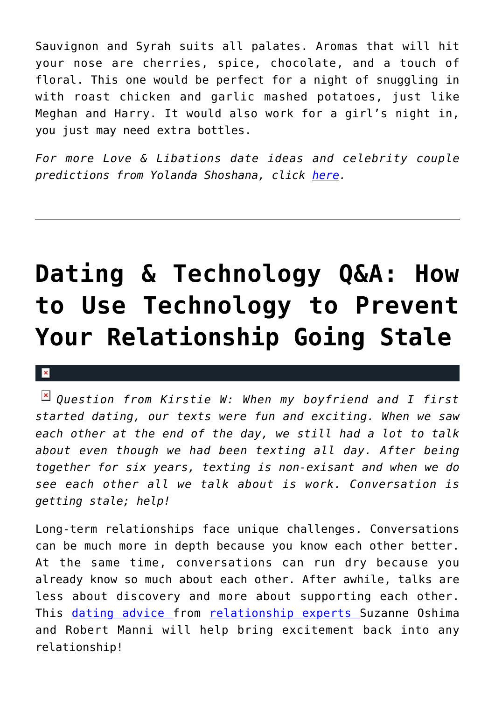Sauvignon and Syrah suits all palates. Aromas that will hit your nose are cherries, spice, chocolate, and a touch of floral. This one would be perfect for a night of snuggling in with roast chicken and garlic mashed potatoes, just like Meghan and Harry. It would also work for a girl's night in, you just may need extra bottles.

*For more Love & Libations date ideas and celebrity couple predictions from Yolanda Shoshana, click [here](http://cupidspulse.com/relationship-experts/yolanda-shoshana/).* 

## **[Dating & Technology Q&A: How](https://cupidspulse.com/124633/dating-technology-qa-technology-prevent-relationship-going-stale/) [to Use Technology to Prevent](https://cupidspulse.com/124633/dating-technology-qa-technology-prevent-relationship-going-stale/) [Your Relationship Going Stale](https://cupidspulse.com/124633/dating-technology-qa-technology-prevent-relationship-going-stale/)**

### $\mathbf{x}$

*Question from Kirstie W: When my boyfriend and I first started dating, our texts were fun and exciting. When we saw each other at the end of the day, we still had a lot to talk about even though we had been texting all day. After being together for six years, texting is non-exisant and when we do see each other all we talk about is work. Conversation is getting stale; help!*

Long-term relationships face unique challenges. Conversations can be much more in depth because you know each other better. At the same time, conversations can run dry because you already know so much about each other. After awhile, talks are less about discovery and more about supporting each other. This [dating advice f](http://cupidspulse.com/relationship-experts/)rom [relationship experts S](http://cupidspulse.com/relationship-experts/)uzanne Oshima and Robert Manni will help bring excitement back into any relationship!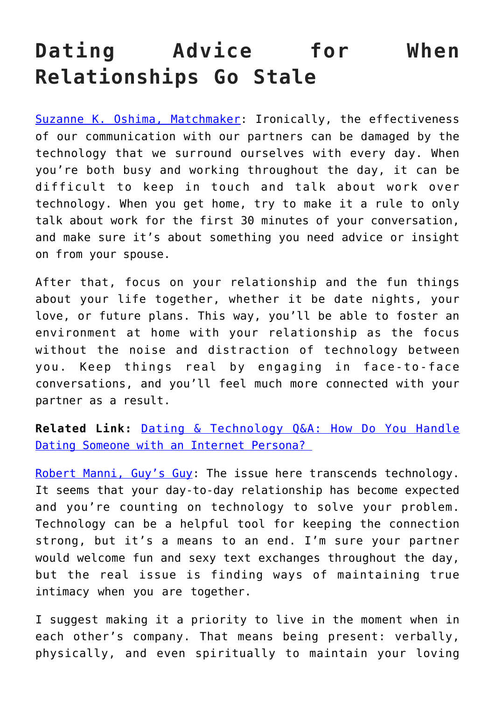### **Dating Advice for When Relationships Go Stale**

[Suzanne K. Oshima, Matchmaker](http://www.dreambachelor.com/): Ironically, the effectiveness of our communication with our partners can be damaged by the technology that we surround ourselves with every day. When you're both busy and working throughout the day, it can be difficult to keep in touch and talk about work over technology. When you get home, try to make it a rule to only talk about work for the first 30 minutes of your conversation, and make sure it's about something you need advice or insight on from your spouse.

After that, focus on your relationship and the fun things about your life together, whether it be date nights, your love, or future plans. This way, you'll be able to foster an environment at home with your relationship as the focus without the noise and distraction of technology between you. Keep things real by engaging in face-to-face conversations, and you'll feel much more connected with your partner as a result.

**Related Link:** [Dating & Technology Q&A: How Do You Handle](http://cupidspulse.com/relationship-dating-experts/oshima-wyatt-manni-technology-experts/) Dating Someone with an Internet Persona?

[Robert Manni, Guy's Guy:](http://www.robertmanni.com/) The issue here transcends technology. It seems that your day-to-day relationship has become expected and you're counting on technology to solve your problem. Technology can be a helpful tool for keeping the connection strong, but it's a means to an end. I'm sure your partner would welcome fun and sexy text exchanges throughout the day, but the real issue is finding ways of maintaining true intimacy when you are together.

I suggest making it a priority to live in the moment when in each other's company. That means being present: verbally, physically, and even spiritually to maintain your loving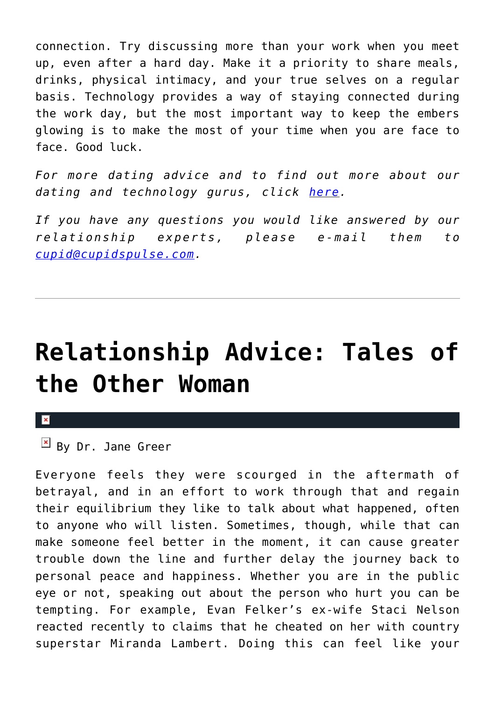connection. Try discussing more than your work when you meet up, even after a hard day. Make it a priority to share meals, drinks, physical intimacy, and your true selves on a regular basis. Technology provides a way of staying connected during the work day, but the most important way to keep the embers glowing is to make the most of your time when you are face to face. Good luck.

*For more dating advice and to find out more about our dating and technology gurus, click [here](http://cupidspulse.com/relationship-dating-experts/oshima-wyatt-manni-technology-experts/).* 

*If you have any questions you would like answered by our relationship experts, please e-mail them to [cupid@cupidspulse.com](mailto:cupid@cupidspulse.com).* 

### **[Relationship Advice: Tales of](https://cupidspulse.com/124540/relationship-advice-tales-other-woman-dr-jane-greer/) [the Other Woman](https://cupidspulse.com/124540/relationship-advice-tales-other-woman-dr-jane-greer/)**

#### $\mathbf{x}$

 $\mathbb{F}$  By Dr. Jane Greer

Everyone feels they were scourged in the aftermath of betrayal, and in an effort to work through that and regain their equilibrium they like to talk about what happened, often to anyone who will listen. Sometimes, though, while that can make someone feel better in the moment, it can cause greater trouble down the line and further delay the journey back to personal peace and happiness. Whether you are in the public eye or not, speaking out about the person who hurt you can be tempting. For example, Evan Felker's ex-wife Staci Nelson reacted recently to claims that he cheated on her with country superstar Miranda Lambert. Doing this can feel like your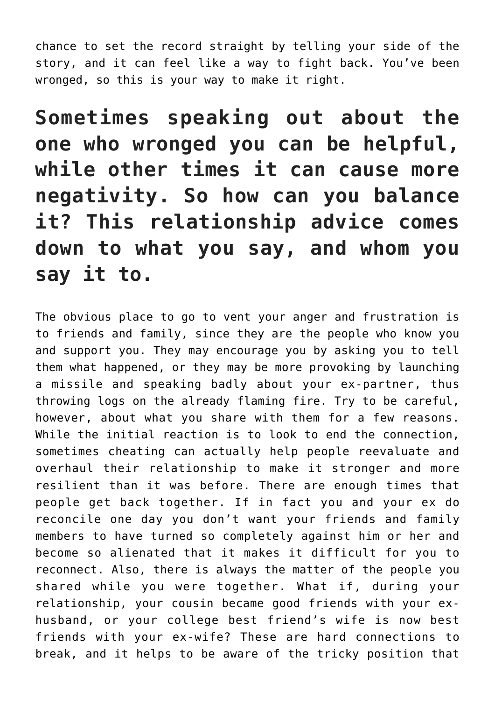chance to set the record straight by telling your side of the story, and it can feel like a way to fight back. You've been wronged, so this is your way to make it right.

**Sometimes speaking out about the one who wronged you can be helpful, while other times it can cause more negativity. So how can you balance it? This relationship advice comes down to what you say, and whom you say it to.**

The obvious place to go to vent your anger and frustration is to friends and family, since they are the people who know you and support you. They may encourage you by asking you to tell them what happened, or they may be more provoking by launching a missile and speaking badly about your ex-partner, thus throwing logs on the already flaming fire. Try to be careful, however, about what you share with them for a few reasons. While the initial reaction is to look to end the connection, sometimes cheating can actually help people reevaluate and overhaul their relationship to make it stronger and more resilient than it was before. There are enough times that people get back together. If in fact you and your ex do reconcile one day you don't want your friends and family members to have turned so completely against him or her and become so alienated that it makes it difficult for you to reconnect. Also, there is always the matter of the people you shared while you were together. What if, during your relationship, your cousin became good friends with your exhusband, or your college best friend's wife is now best friends with your ex-wife? These are hard connections to break, and it helps to be aware of the tricky position that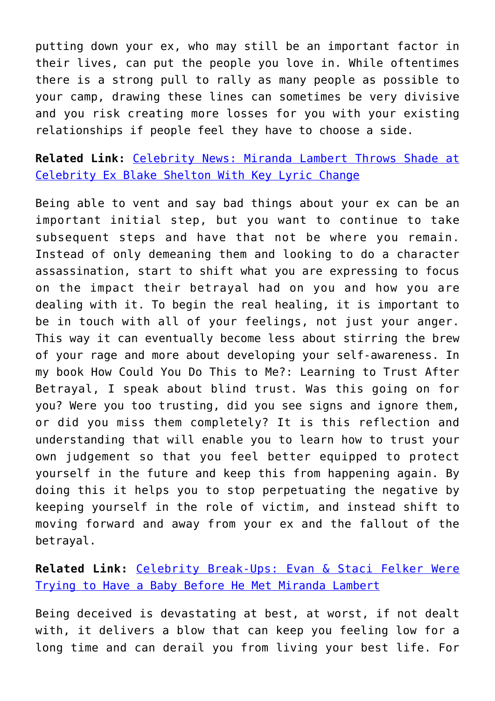putting down your ex, who may still be an important factor in their lives, can put the people you love in. While oftentimes there is a strong pull to rally as many people as possible to your camp, drawing these lines can sometimes be very divisive and you risk creating more losses for you with your existing relationships if people feel they have to choose a side.

**Related Link:** [Celebrity News: Miranda Lambert Throws Shade at](http://cupidspulse.com/122682/celebrity-news-miranda-lambert-celebrity-ex-blake-shelton-lyric-change/) [Celebrity Ex Blake Shelton With Key Lyric Change](http://cupidspulse.com/122682/celebrity-news-miranda-lambert-celebrity-ex-blake-shelton-lyric-change/)

Being able to vent and say bad things about your ex can be an important initial step, but you want to continue to take subsequent steps and have that not be where you remain. Instead of only demeaning them and looking to do a character assassination, start to shift what you are expressing to focus on the impact their betrayal had on you and how you are dealing with it. To begin the real healing, it is important to be in touch with all of your feelings, not just your anger. This way it can eventually become less about stirring the brew of your rage and more about developing your self-awareness. In my book How Could You Do This to Me?: Learning to Trust After Betrayal, I speak about blind trust. Was this going on for you? Were you too trusting, did you see signs and ignore them, or did you miss them completely? It is this reflection and understanding that will enable you to learn how to trust your own judgement so that you feel better equipped to protect yourself in the future and keep this from happening again. By doing this it helps you to stop perpetuating the negative by keeping yourself in the role of victim, and instead shift to moving forward and away from your ex and the fallout of the betrayal.

### **Related Link:** [Celebrity Break-Ups: Evan & Staci Felker Were](http://cupidspulse.com/124442/celebrity-break-ups-evan-staci-felker-trying-baby-before-met-miranda-lambert/) [Trying to Have a Baby Before He Met Miranda Lambert](http://cupidspulse.com/124442/celebrity-break-ups-evan-staci-felker-trying-baby-before-met-miranda-lambert/)

Being deceived is devastating at best, at worst, if not dealt with, it delivers a blow that can keep you feeling low for a long time and can derail you from living your best life. For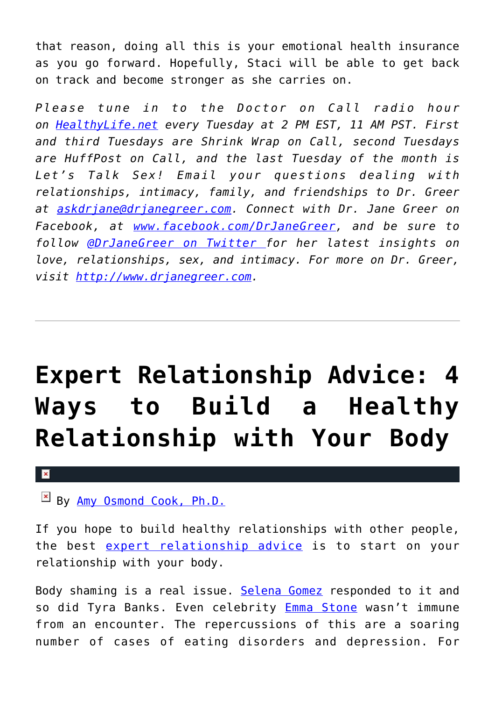that reason, doing all this is your emotional health insurance as you go forward. Hopefully, Staci will be able to get back on track and become stronger as she carries on.

*Please tune in to the Doctor on Call radio hour on [HealthyLife.net](http://www.healthylife.net/) every Tuesday at 2 PM EST, 11 AM PST. First and third Tuesdays are Shrink Wrap on Call, second Tuesdays are HuffPost on Call, and the last Tuesday of the month is Let's Talk Sex! Email your questions dealing with relationships, intimacy, family, and friendships to Dr. Greer at [askdrjane@drjanegreer.com](mailto:askdrjane@drjanegreer.com). Connect with Dr. Jane Greer on Facebook, at [www.facebook.com/DrJaneGreer,](http://www.facebook.com/DrJaneGreer) and be sure to follow [@DrJaneGreer on Twitter f](https://twitter.com/#!/DrJaneGreer)or her latest insights on love, relationships, sex, and intimacy. For more on Dr. Greer, visit [http://www.drjanegreer.com.](http://www.drjanegreer.com/)*

## **[Expert Relationship Advice: 4](https://cupidspulse.com/124496/expert-relationship-advice-relationship-body/) [Ways to Build a Healthy](https://cupidspulse.com/124496/expert-relationship-advice-relationship-body/) [Relationship with Your Body](https://cupidspulse.com/124496/expert-relationship-advice-relationship-body/)**

×

 $\boxed{\times}$  By [Amy Osmond Cook, Ph.D.](http://cupidspulse.com/relationship-experts/dr-amy-osmond-cook/)

If you hope to build healthy relationships with other people, the best [expert relationship advice](http://cupidspulse.com/relationship-experts/) is to start on your relationship with your body.

Body shaming is a real issue. [Selena Gomez](http://cupidspulse.com/89073/selena-gomez/) responded to it and so did Tyra Banks. Even celebrity [Emma Stone](http://cupidspulse.com/94255/emma-stone/) wasn't immune from an encounter. The repercussions of this are a soaring number of cases of eating disorders and depression. For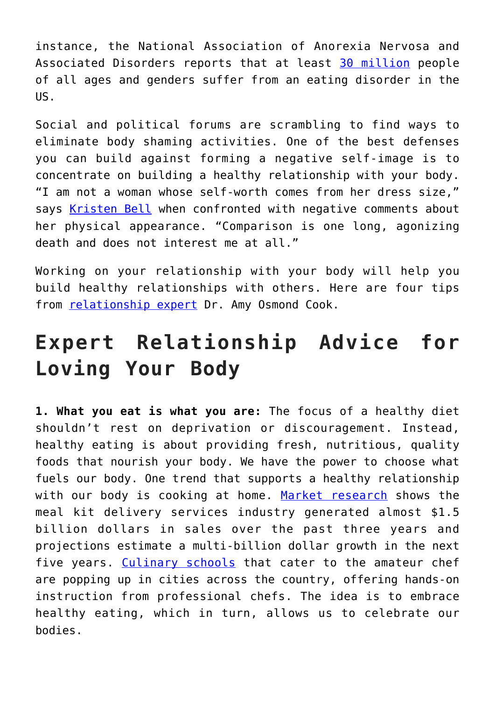instance, the National Association of Anorexia Nervosa and Associated Disorders reports that at least [30 million](http://www.anad.org/education-and-awareness/about-eating-disorders/eating-disorders-statistics/) people of all ages and genders suffer from an eating disorder in the US.

Social and political forums are scrambling to find ways to eliminate body shaming activities. One of the best defenses you can build against forming a negative self-image is to concentrate on building a healthy relationship with your body. "I am not a woman whose self-worth comes from her dress size," says [Kristen Bell](http://cupidspulse.com/94261/kristen-bell/) when confronted with negative comments about her physical appearance. "Comparison is one long, agonizing death and does not interest me at all."

Working on your relationship with your body will help you build healthy relationships with others. Here are four tips from [relationship expert](http://cupidspulse.com/relationship-experts/) Dr. Amy Osmond Cook.

### **Expert Relationship Advice for Loving Your Body**

**1. What you eat is what you are:** The focus of a healthy diet shouldn't rest on deprivation or discouragement. Instead, healthy eating is about providing fresh, nutritious, quality foods that nourish your body. We have the power to choose what fuels our body. One trend that supports a healthy relationship with our body is cooking at home. [Market research](https://www.packagedfacts.com/about/release.asp?id=3892) shows the meal kit delivery services industry generated almost \$1.5 billion dollars in sales over the past three years and projections estimate a multi-billion dollar growth in the next five years. [Culinary schools](https://www.saltlakeculinarycenter.com/) that cater to the amateur chef are popping up in cities across the country, offering hands-on instruction from professional chefs. The idea is to embrace healthy eating, which in turn, allows us to celebrate our bodies.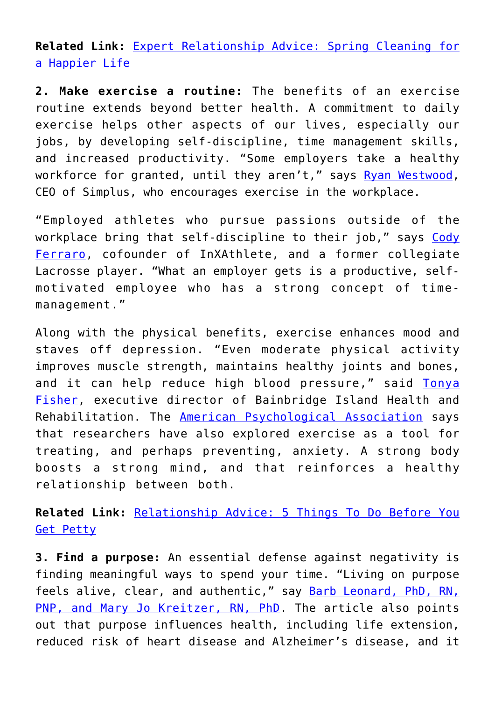**Related Link:** [Expert Relationship Advice: Spring Cleaning for](http://cupidspulse.com/123815/expert-relationship-advice-spring-cleaning-tips-for-a-happier-life/) [a Happier Life](http://cupidspulse.com/123815/expert-relationship-advice-spring-cleaning-tips-for-a-happier-life/)

**2. Make exercise a routine:** The benefits of an exercise routine extends beyond better health. A commitment to daily exercise helps other aspects of our lives, especially our jobs, by developing self-discipline, time management skills, and increased productivity. "Some employers take a healthy workforce for granted, until they aren't," says [Ryan Westwood,](https://www.forbes.com/sites/ryanwestwood/2018/03/19/5-reasons-why-sporting-a-staff-of-athletes-as-a-game-winning-strategy/#16b0192c6a8a) CEO of Simplus, who encourages exercise in the workplace.

"Employed athletes who pursue passions outside of the workplace bring that self-discipline to their job," says [Cody](https://inxathlete.com/) [Ferraro](https://inxathlete.com/), cofounder of InXAthlete, and a former collegiate Lacrosse player. "What an employer gets is a productive, selfmotivated employee who has a strong concept of timemanagement."

Along with the physical benefits, exercise enhances mood and staves off depression. "Even moderate physical activity improves muscle strength, maintains healthy joints and bones, and it can help reduce high blood pressure," said [Tonya](http://bainbridgerehab.com/) [Fisher](http://bainbridgerehab.com/), executive director of Bainbridge Island Health and Rehabilitation. The [American Psychological Association](http://www.apa.org/monitor/2011/12/exercise.aspx) says that researchers have also explored exercise as a tool for treating, and perhaps preventing, anxiety. A strong body boosts a strong mind, and that reinforces a healthy relationship between both.

**Related Link:** [Relationship Advice: 5 Things To Do Before You](http://cupidspulse.com/119377/relationship-advice-5-things-before-get-petty/) [Get Petty](http://cupidspulse.com/119377/relationship-advice-5-things-before-get-petty/)

**3. Find a purpose:** An essential defense against negativity is finding meaningful ways to spend your time. "Living on purpose feels alive, clear, and authentic," say **[Barb Leonard, PhD, RN,](https://www.takingcharge.csh.umn.edu/why-life-purpose-important)** [PNP, and Mary Jo Kreitzer, RN, PhD.](https://www.takingcharge.csh.umn.edu/why-life-purpose-important) The article also points out that purpose influences health, including life extension, reduced risk of heart disease and Alzheimer's disease, and it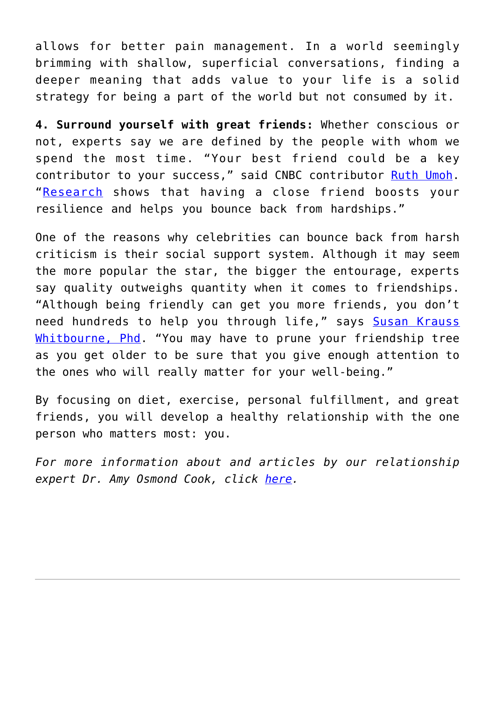allows for better pain management. In a world seemingly brimming with shallow, superficial conversations, finding a deeper meaning that adds value to your life is a solid strategy for being a part of the world but not consumed by it.

**4. Surround yourself with great friends:** Whether conscious or not, experts say we are defined by the people with whom we spend the most time. "Your best friend could be a key contributor to your success," said CNBC contributor [Ruth Umoh.](https://www.cnbc.com/2017/11/08/why-the-secret-to-your-success-is-who-you-choose-as-a-best-friend.html) "[Research](https://www.brighton.ac.uk/research-and-enterprise/groups/social-science-policy/research-projects/resilience-and-friendships.aspx) shows that having a close friend boosts your resilience and helps you bounce back from hardships."

One of the reasons why celebrities can bounce back from harsh criticism is their social support system. Although it may seem the more popular the star, the bigger the entourage, experts say quality outweighs quantity when it comes to friendships. "Although being friendly can get you more friends, you don't need hundreds to help you through life," says [Susan Krauss](https://www.psychologytoday.com/us/blog/fulfillment-any-age/201303/fifteen-reasons-we-need-friends) [Whitbourne, Phd](https://www.psychologytoday.com/us/blog/fulfillment-any-age/201303/fifteen-reasons-we-need-friends). "You may have to prune your friendship tree as you get older to be sure that you give enough attention to the ones who will really matter for your well-being."

By focusing on diet, exercise, personal fulfillment, and great friends, you will develop a healthy relationship with the one person who matters most: you.

*For more information about and articles by our relationship expert Dr. Amy Osmond Cook, click [here](http://cupidspulse.com/relationship-dating-experts/hope-after-divorce-relationship-experts/).*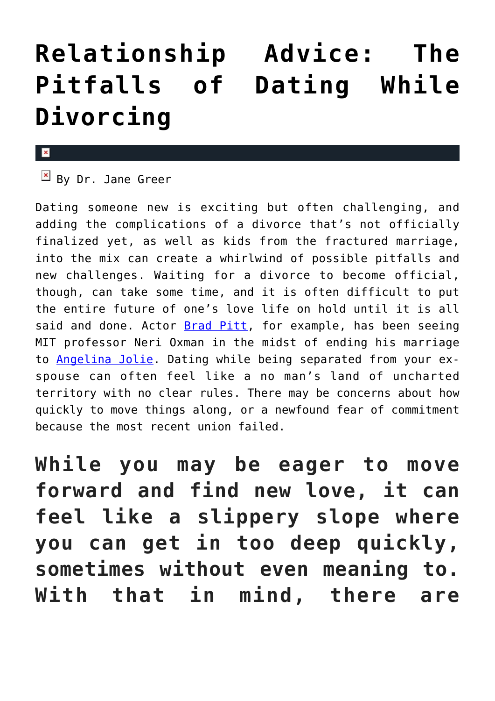## **[Relationship Advice: The](https://cupidspulse.com/124396/relationship-advice-pitfalls-dating-while-divorcing-dr-jane-greer/) [Pitfalls of Dating While](https://cupidspulse.com/124396/relationship-advice-pitfalls-dating-while-divorcing-dr-jane-greer/) [Divorcing](https://cupidspulse.com/124396/relationship-advice-pitfalls-dating-while-divorcing-dr-jane-greer/)**

### x

 $\overline{B}$  By Dr. Jane Greer

Dating someone new is exciting but often challenging, and adding the complications of a divorce that's not officially finalized yet, as well as kids from the fractured marriage, into the mix can create a whirlwind of possible pitfalls and new challenges. Waiting for a divorce to become official, though, can take some time, and it is often difficult to put the entire future of one's love life on hold until it is all said and done. Actor **Brad Pitt**, for example, has been seeing MIT professor Neri Oxman in the midst of ending his marriage to [Angelina Jolie.](http://cupidspulse.com/86085/angelina-jolie/) Dating while being separated from your exspouse can often feel like a no man's land of uncharted territory with no clear rules. There may be concerns about how quickly to move things along, or a newfound fear of commitment because the most recent union failed.

**While you may be eager to move forward and find new love, it can feel like a slippery slope where you can get in too deep quickly, sometimes without even meaning to. With that in mind, there are**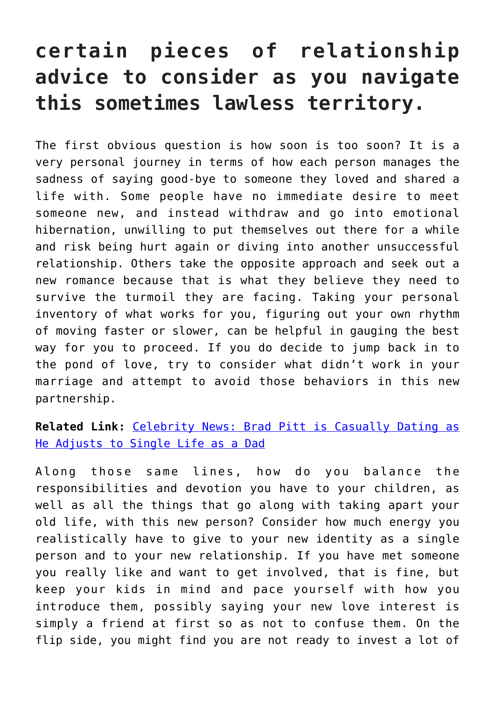### **certain pieces of relationship advice to consider as you navigate this sometimes lawless territory.**

The first obvious question is how soon is too soon? It is a very personal journey in terms of how each person manages the sadness of saying good-bye to someone they loved and shared a life with. Some people have no immediate desire to meet someone new, and instead withdraw and go into emotional hibernation, unwilling to put themselves out there for a while and risk being hurt again or diving into another unsuccessful relationship. Others take the opposite approach and seek out a new romance because that is what they believe they need to survive the turmoil they are facing. Taking your personal inventory of what works for you, figuring out your own rhythm of moving faster or slower, can be helpful in gauging the best way for you to proceed. If you do decide to jump back in to the pond of love, try to consider what didn't work in your marriage and attempt to avoid those behaviors in this new partnership.

### **Related Link:** [Celebrity News: Brad Pitt is Casually Dating as](http://cupidspulse.com/122378/celebrity-news-brad-pitt-casually-dating-single-dad/) [He Adjusts to Single Life as a Dad](http://cupidspulse.com/122378/celebrity-news-brad-pitt-casually-dating-single-dad/)

Along those same lines, how do you balance the responsibilities and devotion you have to your children, as well as all the things that go along with taking apart your old life, with this new person? Consider how much energy you realistically have to give to your new identity as a single person and to your new relationship. If you have met someone you really like and want to get involved, that is fine, but keep your kids in mind and pace yourself with how you introduce them, possibly saying your new love interest is simply a friend at first so as not to confuse them. On the flip side, you might find you are not ready to invest a lot of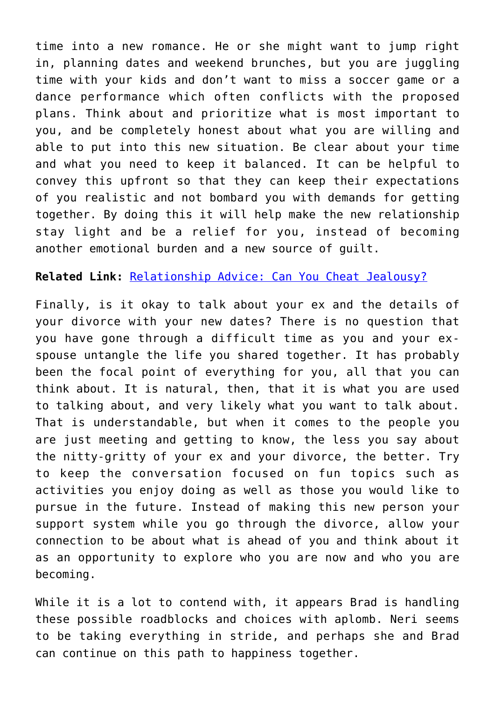time into a new romance. He or she might want to jump right in, planning dates and weekend brunches, but you are juggling time with your kids and don't want to miss a soccer game or a dance performance which often conflicts with the proposed plans. Think about and prioritize what is most important to you, and be completely honest about what you are willing and able to put into this new situation. Be clear about your time and what you need to keep it balanced. It can be helpful to convey this upfront so that they can keep their expectations of you realistic and not bombard you with demands for getting together. By doing this it will help make the new relationship stay light and be a relief for you, instead of becoming another emotional burden and a new source of guilt.

### **Related Link:** [Relationship Advice: Can You Cheat Jealousy?](http://cupidspulse.com/116711/relationship-advice-cheat-jealousy-dr-jane-greer/)

Finally, is it okay to talk about your ex and the details of your divorce with your new dates? There is no question that you have gone through a difficult time as you and your exspouse untangle the life you shared together. It has probably been the focal point of everything for you, all that you can think about. It is natural, then, that it is what you are used to talking about, and very likely what you want to talk about. That is understandable, but when it comes to the people you are just meeting and getting to know, the less you say about the nitty-gritty of your ex and your divorce, the better. Try to keep the conversation focused on fun topics such as activities you enjoy doing as well as those you would like to pursue in the future. Instead of making this new person your support system while you go through the divorce, allow your connection to be about what is ahead of you and think about it as an opportunity to explore who you are now and who you are becoming.

While it is a lot to contend with, it appears Brad is handling these possible roadblocks and choices with aplomb. Neri seems to be taking everything in stride, and perhaps she and Brad can continue on this path to happiness together.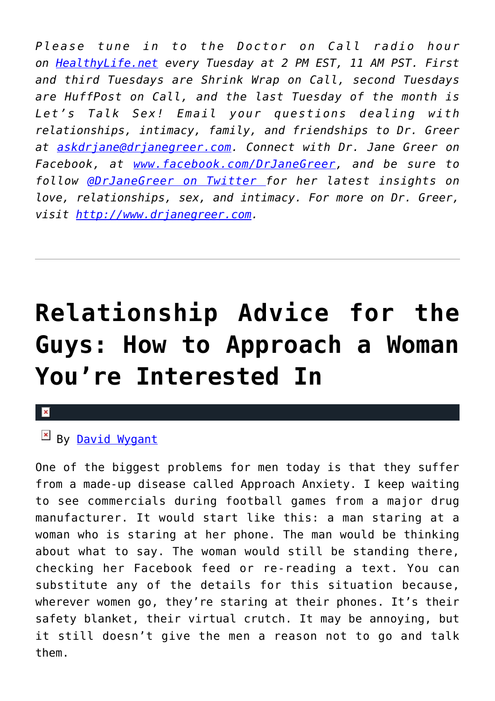*Please tune in to the Doctor on Call radio hour on [HealthyLife.net](http://www.healthylife.net/) every Tuesday at 2 PM EST, 11 AM PST. First and third Tuesdays are Shrink Wrap on Call, second Tuesdays are HuffPost on Call, and the last Tuesday of the month is Let's Talk Sex! Email your questions dealing with relationships, intimacy, family, and friendships to Dr. Greer at [askdrjane@drjanegreer.com](mailto:askdrjane@drjanegreer.com). Connect with Dr. Jane Greer on Facebook, at [www.facebook.com/DrJaneGreer,](http://www.facebook.com/DrJaneGreer) and be sure to follow [@DrJaneGreer on Twitter f](https://twitter.com/#!/DrJaneGreer)or her latest insights on love, relationships, sex, and intimacy. For more on Dr. Greer, visit [http://www.drjanegreer.com.](http://www.drjanegreer.com/)*

# **[Relationship Advice for the](https://cupidspulse.com/124340/relationship-advice-how-to-approach-women/) [Guys: How to Approach a Woman](https://cupidspulse.com/124340/relationship-advice-how-to-approach-women/) [You're Interested In](https://cupidspulse.com/124340/relationship-advice-how-to-approach-women/)**

### By [David Wygant](http://cupidspulse.com/relationship-experts/david-wygant/)

One of the biggest problems for men today is that they suffer from a made-up disease called Approach Anxiety. I keep waiting to see commercials during football games from a major drug manufacturer. It would start like this: a man staring at a woman who is staring at her phone. The man would be thinking about what to say. The woman would still be standing there, checking her Facebook feed or re-reading a text. You can substitute any of the details for this situation because, wherever women go, they're staring at their phones. It's their safety blanket, their virtual crutch. It may be annoying, but it still doesn't give the men a reason not to go and talk them.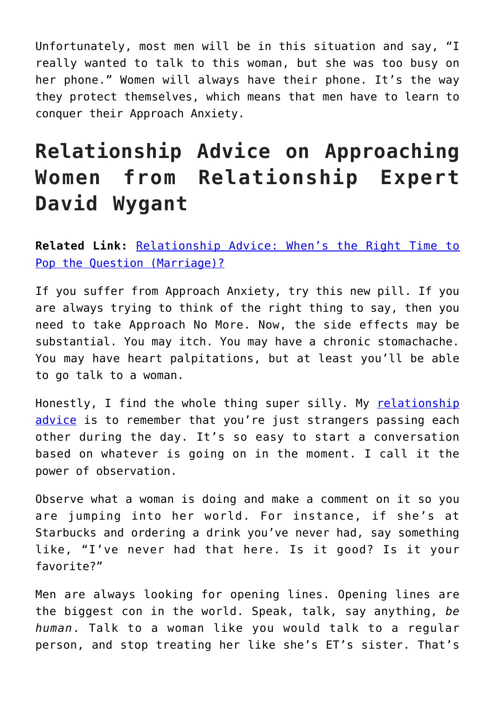Unfortunately, most men will be in this situation and say, "I really wanted to talk to this woman, but she was too busy on her phone." Women will always have their phone. It's the way they protect themselves, which means that men have to learn to conquer their Approach Anxiety.

### **Relationship Advice on Approaching Women from Relationship Expert David Wygant**

**Related Link:** [Relationship Advice: When's the Right Time to](http://cupidspulse.com/117686/relationship-advice-guy-pop-question-marriage/) [Pop the Question \(Marriage\)?](http://cupidspulse.com/117686/relationship-advice-guy-pop-question-marriage/)

If you suffer from Approach Anxiety, try this new pill. If you are always trying to think of the right thing to say, then you need to take Approach No More. Now, the side effects may be substantial. You may itch. You may have a chronic stomachache. You may have heart palpitations, but at least you'll be able to go talk to a woman.

Honestly, I find the whole thing super silly. My [relationship](http://cupidspulse.com/relationship-experts/) [advice](http://cupidspulse.com/relationship-experts/) is to remember that you're just strangers passing each other during the day. It's so easy to start a conversation based on whatever is going on in the moment. I call it the power of observation.

Observe what a woman is doing and make a comment on it so you are jumping into her world. For instance, if she's at Starbucks and ordering a drink you've never had, say something like, "I've never had that here. Is it good? Is it your favorite?"

Men are always looking for opening lines. Opening lines are the biggest con in the world. Speak, talk, say anything, *be human*. Talk to a woman like you would talk to a regular person, and stop treating her like she's ET's sister. That's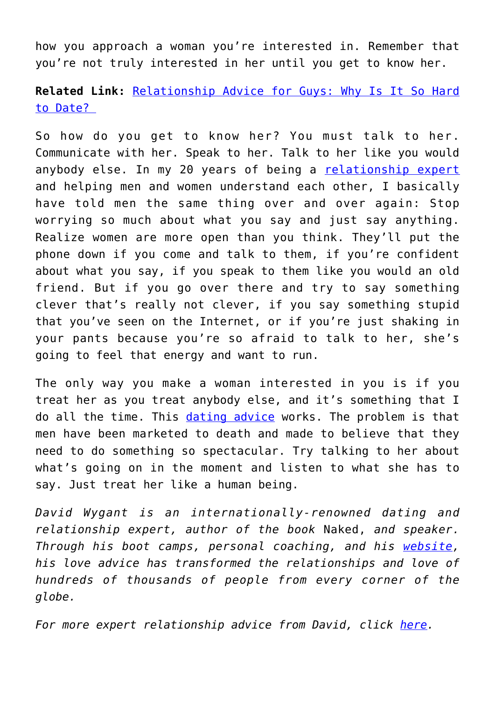how you approach a woman you're interested in. Remember that you're not truly interested in her until you get to know her.

**Related Link:** [Relationship Advice for Guys: Why Is It So Hard](http://cupidspulse.com/115462/relationship-advice-guys-why-hard-date/) [to Date?](http://cupidspulse.com/115462/relationship-advice-guys-why-hard-date/) 

So how do you get to know her? You must talk to her. Communicate with her. Speak to her. Talk to her like you would anybody else. In my 20 years of being a [relationship expert](http://cupidspulse.com/relationship-experts/) and helping men and women understand each other, I basically have told men the same thing over and over again: Stop worrying so much about what you say and just say anything. Realize women are more open than you think. They'll put the phone down if you come and talk to them, if you're confident about what you say, if you speak to them like you would an old friend. But if you go over there and try to say something clever that's really not clever, if you say something stupid that you've seen on the Internet, or if you're just shaking in your pants because you're so afraid to talk to her, she's going to feel that energy and want to run.

The only way you make a woman interested in you is if you treat her as you treat anybody else, and it's something that I do all the time. This [dating advice](http://cupidspulse.com/relationship-experts/) works. The problem is that men have been marketed to death and made to believe that they need to do something so spectacular. Try talking to her about what's going on in the moment and listen to what she has to say. Just treat her like a human being.

*David Wygant is an internationally-renowned dating and relationship expert, author of the book* Naked, *and speaker. Through his boot camps, personal coaching, and his [website,](http://www.davidwygant.com/) his love advice has transformed the relationships and love of hundreds of thousands of people from every corner of the globe.* 

*For more expert relationship advice from David, click [here.](http://cupidspulse.com/relationship-dating-experts/david-wygant-dating-coach/)*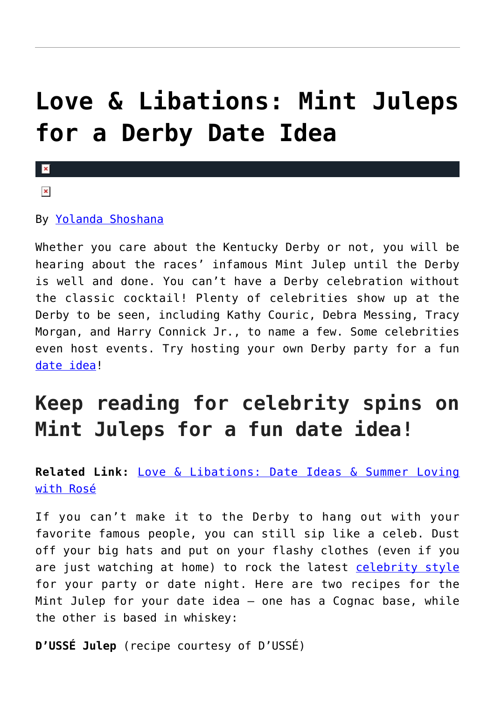## **[Love & Libations: Mint Juleps](https://cupidspulse.com/124182/love-libations-mint-juleps-derby-date-idea/) [for a Derby Date Idea](https://cupidspulse.com/124182/love-libations-mint-juleps-derby-date-idea/)**

 $\vert \mathbf{x} \vert$  $\pmb{\times}$ 

#### By [Yolanda Shoshana](http://cupidspulse.com/relationship-experts/yolanda-shoshana/)

Whether you care about the Kentucky Derby or not, you will be hearing about the races' infamous Mint Julep until the Derby is well and done. You can't have a Derby celebration without the classic cocktail! Plenty of celebrities show up at the Derby to be seen, including Kathy Couric, Debra Messing, Tracy Morgan, and Harry Connick Jr., to name a few. Some celebrities even host events. Try hosting your own Derby party for a fun [date idea!](http://cupidspulse.com/celebrity-relationships/long-term-relationships-flings/)

### **Keep reading for celebrity spins on Mint Juleps for a fun date idea!**

### **Related Link:** [Love & Libations: Date Ideas & Summer Loving](http://cupidspulse.com/123747/date-ideas-summer-loving-with-rose/) [with Rosé](http://cupidspulse.com/123747/date-ideas-summer-loving-with-rose/)

If you can't make it to the Derby to hang out with your favorite famous people, you can still sip like a celeb. Dust off your big hats and put on your flashy clothes (even if you are just watching at home) to rock the latest [celebrity style](http://cupidspulse.com/fashion/) for your party or date night. Here are two recipes for the Mint Julep for your date idea — one has a Cognac base, while the other is based in whiskey:

**D'USSÉ Julep** (recipe courtesy of D'USSÉ)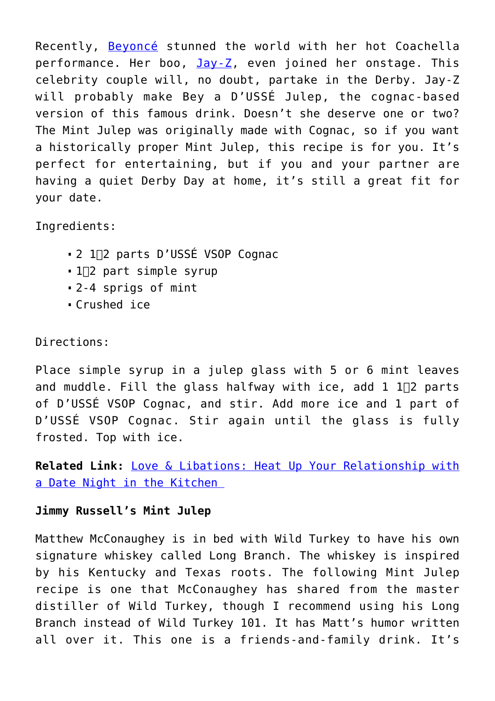Recently, [Beyoncé](http://cupidspulse.com/86087/beyonce/) stunned the world with her hot Coachella performance. Her boo,  $Jay-Z$ , even joined her onstage. This celebrity couple will, no doubt, partake in the Derby. Jay-Z will probably make Bey a D'USSÉ Julep, the cognac-based version of this famous drink. Doesn't she deserve one or two? The Mint Julep was originally made with Cognac, so if you want a historically proper Mint Julep, this recipe is for you. It's perfect for entertaining, but if you and your partner are having a quiet Derby Day at home, it's still a great fit for your date.

Ingredients:

- 2 1∏2 parts D'USSÉ VSOP Cognac
- 1∏2 part simple syrup
- 2-4 sprigs of mint
- Crushed ice

Directions:

Place simple syrup in a julep glass with 5 or 6 mint leaves and muddle. Fill the glass halfway with ice, add  $1$   $1\overline{12}$  parts of D'USSÉ VSOP Cognac, and stir. Add more ice and 1 part of D'USSÉ VSOP Cognac. Stir again until the glass is fully frosted. Top with ice.

**Related Link:** [Love & Libations: Heat Up Your Relationship with](http://cupidspulse.com/123332/date-night-in-the-kitchen/) [a Date Night in the Kitchen](http://cupidspulse.com/123332/date-night-in-the-kitchen/) 

### **Jimmy Russell's Mint Julep**

Matthew McConaughey is in bed with Wild Turkey to have his own signature whiskey called Long Branch. The whiskey is inspired by his Kentucky and Texas roots. The following Mint Julep recipe is one that McConaughey has shared from the master distiller of Wild Turkey, though I recommend using his Long Branch instead of Wild Turkey 101. It has Matt's humor written all over it. This one is a friends-and-family drink. It's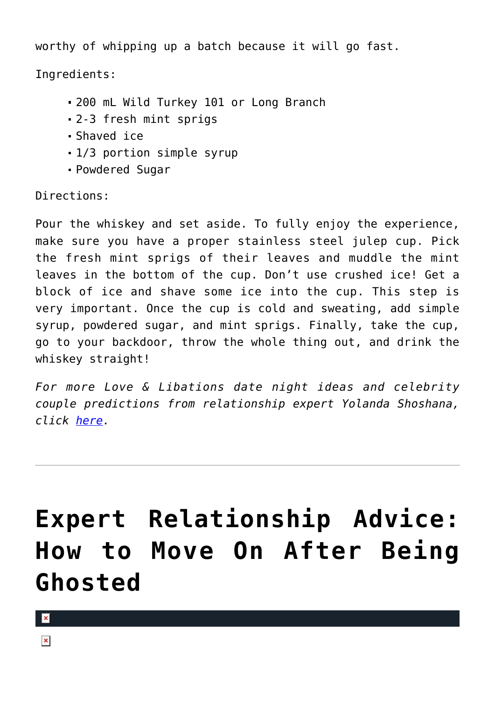worthy of whipping up a batch because it will go fast.

Ingredients:

- 200 mL Wild Turkey 101 or Long Branch
- 2-3 fresh mint sprigs
- Shaved ice
- 1/3 portion simple syrup
- Powdered Sugar

Directions:

Pour the whiskey and set aside. To fully enjoy the experience, make sure you have a proper stainless steel julep cup. Pick the fresh mint sprigs of their leaves and muddle the mint leaves in the bottom of the cup. Don't use crushed ice! Get a block of ice and shave some ice into the cup. This step is very important. Once the cup is cold and sweating, add simple syrup, powdered sugar, and mint sprigs. Finally, take the cup, go to your backdoor, throw the whole thing out, and drink the whiskey straight!

*For more Love & Libations date night ideas and celebrity couple predictions from relationship expert Yolanda Shoshana, click [here.](http://cupidspulse.com/relationship-experts/yolanda-shoshana/)* 

## **[Expert Relationship Advice:](https://cupidspulse.com/124119/expert-relationship-advice-move-on-after-being-ghosted/) [How to Move On After Being](https://cupidspulse.com/124119/expert-relationship-advice-move-on-after-being-ghosted/) [Ghosted](https://cupidspulse.com/124119/expert-relationship-advice-move-on-after-being-ghosted/)**

 $\pmb{\times}$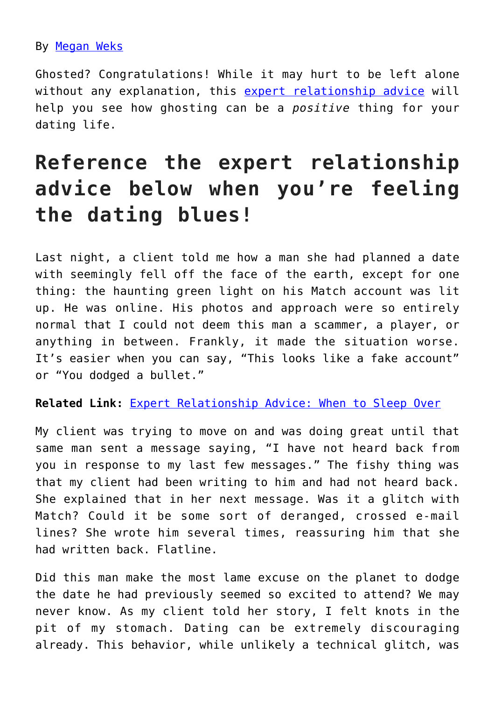### By [Megan Weks](http://cupidspulse.com/relationship-experts/megan-weks/)

Ghosted? Congratulations! While it may hurt to be left alone without any explanation, this [expert relationship advice](http://cupidspulse.com/relationship-experts/) will help you see how ghosting can be a *positive* thing for your dating life.

### **Reference the expert relationship advice below when you're feeling the dating blues!**

Last night, a client told me how a man she had planned a date with seemingly fell off the face of the earth, except for one thing: the haunting green light on his Match account was lit up. He was online. His photos and approach were so entirely normal that I could not deem this man a scammer, a player, or anything in between. Frankly, it made the situation worse. It's easier when you can say, "This looks like a fake account" or "You dodged a bullet."

#### **Related Link:** [Expert Relationship Advice: When to Sleep Over](http://cupidspulse.com/121835/expert-relationship-advice-when-to-sleep-over/)

My client was trying to move on and was doing great until that same man sent a message saying, "I have not heard back from you in response to my last few messages." The fishy thing was that my client had been writing to him and had not heard back. She explained that in her next message. Was it a glitch with Match? Could it be some sort of deranged, crossed e-mail lines? She wrote him several times, reassuring him that she had written back. Flatline.

Did this man make the most lame excuse on the planet to dodge the date he had previously seemed so excited to attend? We may never know. As my client told her story, I felt knots in the pit of my stomach. Dating can be extremely discouraging already. This behavior, while unlikely a technical glitch, was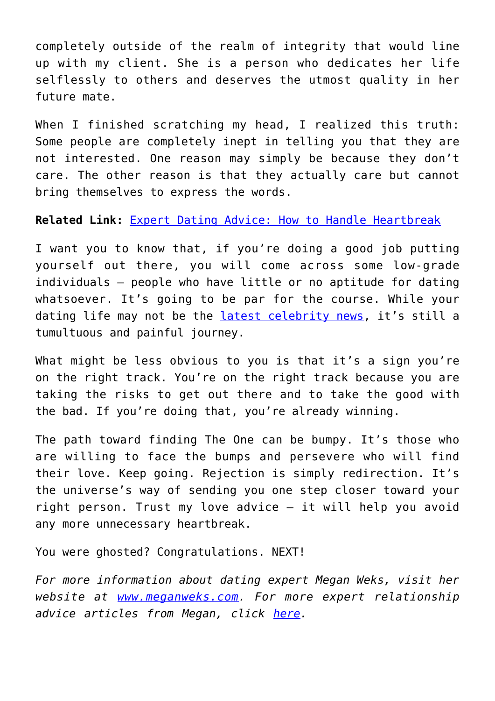completely outside of the realm of integrity that would line up with my client. She is a person who dedicates her life selflessly to others and deserves the utmost quality in her future mate.

When I finished scratching my head, I realized this truth: Some people are completely inept in telling you that they are not interested. One reason may simply be because they don't care. The other reason is that they actually care but cannot bring themselves to express the words.

**Related Link:** [Expert Dating Advice: How to Handle Heartbreak](http://cupidspulse.com/123523/expert-dating-advice-heartbreak-the-bachelor/)

I want you to know that, if you're doing a good job putting yourself out there, you will come across some low-grade individuals — people who have little or no aptitude for dating whatsoever. It's going to be par for the course. While your dating life may not be the [latest celebrity news,](http://cupidspulse.com/) it's still a tumultuous and painful journey.

What might be less obvious to you is that it's a sign you're on the right track. You're on the right track because you are taking the risks to get out there and to take the good with the bad. If you're doing that, you're already winning.

The path toward finding The One can be bumpy. It's those who are willing to face the bumps and persevere who will find their love. Keep going. Rejection is simply redirection. It's the universe's way of sending you one step closer toward your right person. Trust my love advice — it will help you avoid any more unnecessary heartbreak.

You were ghosted? Congratulations. NEXT!

*For more information about dating expert Megan Weks, visit her website at [www.meganweks.com](http://themanfunnel.com/). For more expert relationship advice articles from Megan, click [here](http://cupidspulse.com/relationship-experts/megan-weks/).*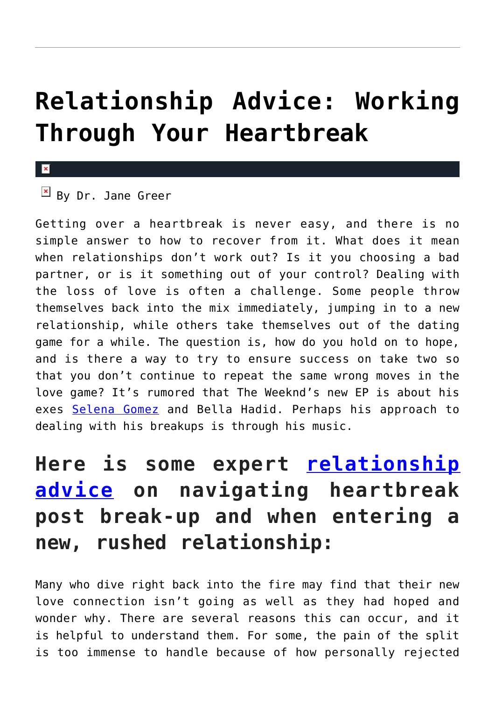## **[Relationship Advice: Working](https://cupidspulse.com/124049/relationship-advice-working-through-heartbreak-dr-jane-greer/) [Through Your Heartbreak](https://cupidspulse.com/124049/relationship-advice-working-through-heartbreak-dr-jane-greer/)**

#### $\mathbf{x}$

 $B$ y Dr. Jane Green

Getting over a heartbreak is never easy, and there is no simple answer to how to recover from it. What does it mean when relationships don't work out? Is it you choosing a bad partner, or is it something out of your control? Dealing with the loss of love is often a challenge. Some people throw themselves back into the mix immediately, jumping in to a new relationship, while others take themselves out of the dating game for a while. The question is, how do you hold on to hope, and is there a way to try to ensure success on take two so that you don't continue to repeat the same wrong moves in the love game? It's rumored that The Weeknd's new EP is about his exes [Selena Gomez](http://cupidspulse.com/89073/selena-gomez/) and Bella Hadid. Perhaps his approach to dealing with his breakups is through his music.

### **Here is some expert [relationship](http://cupidspulse.com/relationship-experts/) [advice](http://cupidspulse.com/relationship-experts/) on navigating heartbreak post break-up and when entering a new, rushed relationship:**

Many who dive right back into the fire may find that their new love connection isn't going as well as they had hoped and wonder why. There are several reasons this can occur, and it is helpful to understand them. For some, the pain of the split is too immense to handle because of how personally rejected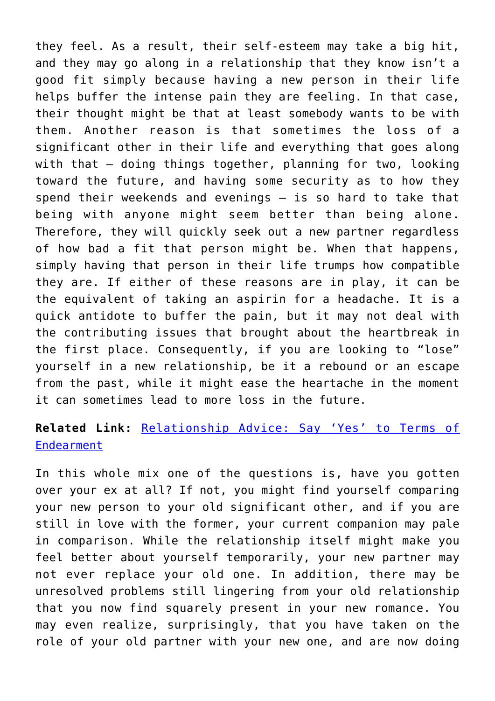they feel. As a result, their self-esteem may take a big hit, and they may go along in a relationship that they know isn't a good fit simply because having a new person in their life helps buffer the intense pain they are feeling. In that case, their thought might be that at least somebody wants to be with them. Another reason is that sometimes the loss of a significant other in their life and everything that goes along with that – doing things together, planning for two, looking toward the future, and having some security as to how they spend their weekends and evenings – is so hard to take that being with anyone might seem better than being alone. Therefore, they will quickly seek out a new partner regardless of how bad a fit that person might be. When that happens, simply having that person in their life trumps how compatible they are. If either of these reasons are in play, it can be the equivalent of taking an aspirin for a headache. It is a quick antidote to buffer the pain, but it may not deal with the contributing issues that brought about the heartbreak in the first place. Consequently, if you are looking to "lose" yourself in a new relationship, be it a rebound or an escape from the past, while it might ease the heartache in the moment it can sometimes lead to more loss in the future.

### **Related Link:** [Relationship Advice: Say 'Yes' to Terms of](http://cupidspulse.com/123920/relationship-advice-terms-of-endearment-dr-greer/) **[Endearment](http://cupidspulse.com/123920/relationship-advice-terms-of-endearment-dr-greer/)**

In this whole mix one of the questions is, have you gotten over your ex at all? If not, you might find yourself comparing your new person to your old significant other, and if you are still in love with the former, your current companion may pale in comparison. While the relationship itself might make you feel better about yourself temporarily, your new partner may not ever replace your old one. In addition, there may be unresolved problems still lingering from your old relationship that you now find squarely present in your new romance. You may even realize, surprisingly, that you have taken on the role of your old partner with your new one, and are now doing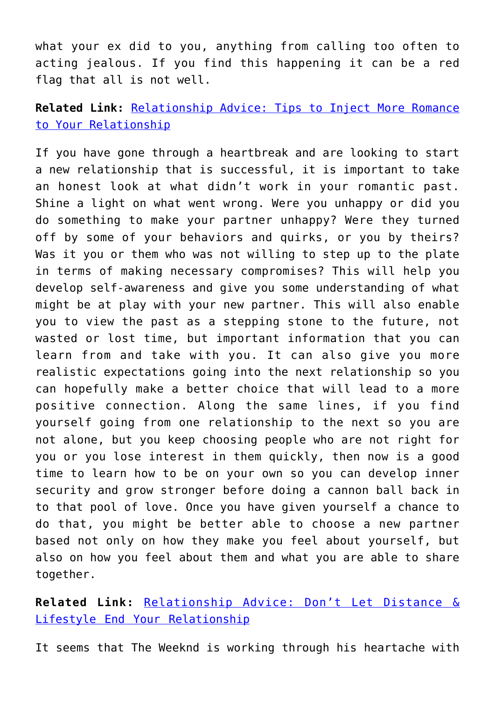what your ex did to you, anything from calling too often to acting jealous. If you find this happening it can be a red flag that all is not well.

**Related Link:** [Relationship Advice: Tips to Inject More Romance](http://cupidspulse.com/123441/tips-inject-more-romance-your-relationship/) [to Your Relationship](http://cupidspulse.com/123441/tips-inject-more-romance-your-relationship/)

If you have gone through a heartbreak and are looking to start a new relationship that is successful, it is important to take an honest look at what didn't work in your romantic past. Shine a light on what went wrong. Were you unhappy or did you do something to make your partner unhappy? Were they turned off by some of your behaviors and quirks, or you by theirs? Was it you or them who was not willing to step up to the plate in terms of making necessary compromises? This will help you develop self-awareness and give you some understanding of what might be at play with your new partner. This will also enable you to view the past as a stepping stone to the future, not wasted or lost time, but important information that you can learn from and take with you. It can also give you more realistic expectations going into the next relationship so you can hopefully make a better choice that will lead to a more positive connection. Along the same lines, if you find yourself going from one relationship to the next so you are not alone, but you keep choosing people who are not right for you or you lose interest in them quickly, then now is a good time to learn how to be on your own so you can develop inner security and grow stronger before doing a cannon ball back in to that pool of love. Once you have given yourself a chance to do that, you might be better able to choose a new partner based not only on how they make you feel about yourself, but also on how you feel about them and what you are able to share together.

**Related Link:** [Relationship Advice: Don't Let Distance &](http://cupidspulse.com/123354/relationship-advice-distance-lifestyle-affect-relationship-dr-greer/) [Lifestyle End Your Relationship](http://cupidspulse.com/123354/relationship-advice-distance-lifestyle-affect-relationship-dr-greer/)

It seems that The Weeknd is working through his heartache with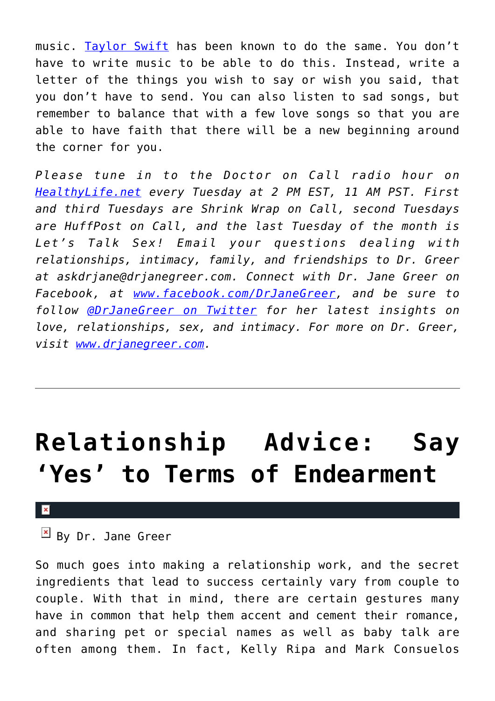music. [Taylor Swift](http://cupidspulse.com/86081/taylor-swift/) has been known to do the same. You don't have to write music to be able to do this. Instead, write a letter of the things you wish to say or wish you said, that you don't have to send. You can also listen to sad songs, but remember to balance that with a few love songs so that you are able to have faith that there will be a new beginning around the corner for you.

*Please tune in to the Doctor on Call radio hour on [HealthyLife.net](http://www.healthylife.net/) every Tuesday at 2 PM EST, 11 AM PST. First and third Tuesdays are Shrink Wrap on Call, second Tuesdays are HuffPost on Call, and the last Tuesday of the month is Let's Talk Sex! Email your questions dealing with relationships, intimacy, family, and friendships to Dr. Greer at askdrjane@drjanegreer.com. Connect with Dr. Jane Greer on Facebook, at [www.facebook.com/DrJaneGreer,](https://www.facebook.com/DrJaneGreer) and be sure to follow [@DrJaneGreer on Twitter](https://twitter.com/DrJaneGreer) for her latest insights on love, relationships, sex, and intimacy. For more on Dr. Greer, visit [www.drjanegreer.com.](http://www.drjanegreer.com)*

## **[Relationship Advice: Say](https://cupidspulse.com/123920/relationship-advice-terms-of-endearment-dr-greer/) ['Yes' to Terms of Endearment](https://cupidspulse.com/123920/relationship-advice-terms-of-endearment-dr-greer/)**

#### $\mathbf x$

 $\mathbb{E}$  By Dr. Jane Greer

So much goes into making a relationship work, and the secret ingredients that lead to success certainly vary from couple to couple. With that in mind, there are certain gestures many have in common that help them accent and cement their romance, and sharing pet or special names as well as baby talk are often among them. In fact, Kelly Ripa and Mark Consuelos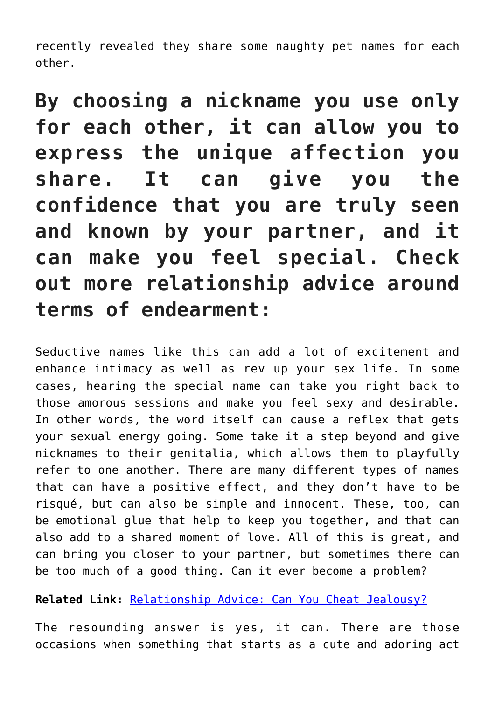recently revealed they share some naughty pet names for each other.

**By choosing a nickname you use only for each other, it can allow you to express the unique affection you share. It can give you the confidence that you are truly seen and known by your partner, and it can make you feel special. Check out more relationship advice around terms of endearment:**

Seductive names like this can add a lot of excitement and enhance intimacy as well as rev up your sex life. In some cases, hearing the special name can take you right back to those amorous sessions and make you feel sexy and desirable. In other words, the word itself can cause a reflex that gets your sexual energy going. Some take it a step beyond and give nicknames to their genitalia, which allows them to playfully refer to one another. There are many different types of names that can have a positive effect, and they don't have to be risqué, but can also be simple and innocent. These, too, can be emotional glue that help to keep you together, and that can also add to a shared moment of love. All of this is great, and can bring you closer to your partner, but sometimes there can be too much of a good thing. Can it ever become a problem?

**Related Link:** [Relationship Advice: Can You Cheat Jealousy?](http://cupidspulse.com/116711/relationship-advice-cheat-jealousy-dr-jane-greer/)

The resounding answer is yes, it can. There are those occasions when something that starts as a cute and adoring act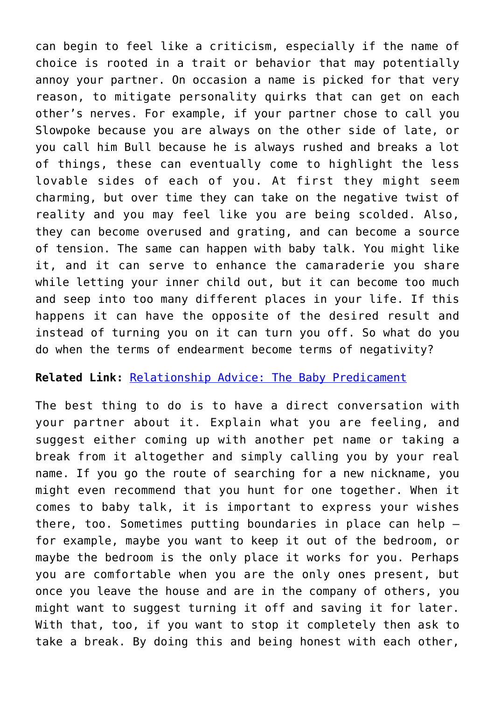can begin to feel like a criticism, especially if the name of choice is rooted in a trait or behavior that may potentially annoy your partner. On occasion a name is picked for that very reason, to mitigate personality quirks that can get on each other's nerves. For example, if your partner chose to call you Slowpoke because you are always on the other side of late, or you call him Bull because he is always rushed and breaks a lot of things, these can eventually come to highlight the less lovable sides of each of you. At first they might seem charming, but over time they can take on the negative twist of reality and you may feel like you are being scolded. Also, they can become overused and grating, and can become a source of tension. The same can happen with baby talk. You might like it, and it can serve to enhance the camaraderie you share while letting your inner child out, but it can become too much and seep into too many different places in your life. If this happens it can have the opposite of the desired result and instead of turning you on it can turn you off. So what do you do when the terms of endearment become terms of negativity?

#### **Related Link:** [Relationship Advice: The Baby Predicament](http://cupidspulse.com/115137/relationship-advice-baby-predicament/)

The best thing to do is to have a direct conversation with your partner about it. Explain what you are feeling, and suggest either coming up with another pet name or taking a break from it altogether and simply calling you by your real name. If you go the route of searching for a new nickname, you might even recommend that you hunt for one together. When it comes to baby talk, it is important to express your wishes there, too. Sometimes putting boundaries in place can help – for example, maybe you want to keep it out of the bedroom, or maybe the bedroom is the only place it works for you. Perhaps you are comfortable when you are the only ones present, but once you leave the house and are in the company of others, you might want to suggest turning it off and saving it for later. With that, too, if you want to stop it completely then ask to take a break. By doing this and being honest with each other,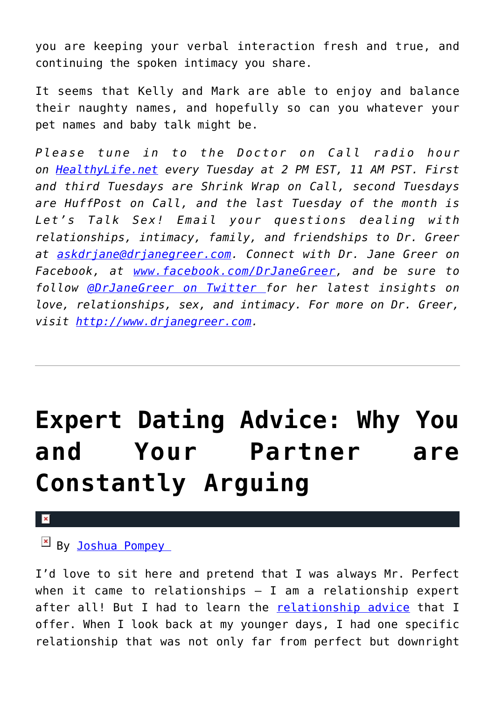you are keeping your verbal interaction fresh and true, and continuing the spoken intimacy you share.

It seems that Kelly and Mark are able to enjoy and balance their naughty names, and hopefully so can you whatever your pet names and baby talk might be.

*Please tune in to the Doctor on Call radio hour on [HealthyLife.net](http://www.healthylife.net/) every Tuesday at 2 PM EST, 11 AM PST. First and third Tuesdays are Shrink Wrap on Call, second Tuesdays are HuffPost on Call, and the last Tuesday of the month is Let's Talk Sex! Email your questions dealing with relationships, intimacy, family, and friendships to Dr. Greer at [askdrjane@drjanegreer.com](mailto:askdrjane@drjanegreer.com). Connect with Dr. Jane Greer on Facebook, at [www.facebook.com/DrJaneGreer,](http://www.facebook.com/DrJaneGreer) and be sure to follow [@DrJaneGreer on Twitter f](https://twitter.com/#!/DrJaneGreer)or her latest insights on love, relationships, sex, and intimacy. For more on Dr. Greer, visit [http://www.drjanegreer.com.](http://www.drjanegreer.com/)*

# **[Expert Dating Advice: Why You](https://cupidspulse.com/123911/expert-dating-advice-arguing/) [and Your Partner are](https://cupidspulse.com/123911/expert-dating-advice-arguing/) [Constantly Arguing](https://cupidspulse.com/123911/expert-dating-advice-arguing/)**

### $\mathbf{x}$

By Joshua Pompey

I'd love to sit here and pretend that I was always Mr. Perfect when it came to relationships  $-$  I am a relationship expert after all! But I had to learn the [relationship advice](http://cupidspulse.com/love/relationship-advice-articles/) that I offer. When I look back at my younger days, I had one specific relationship that was not only far from perfect but downright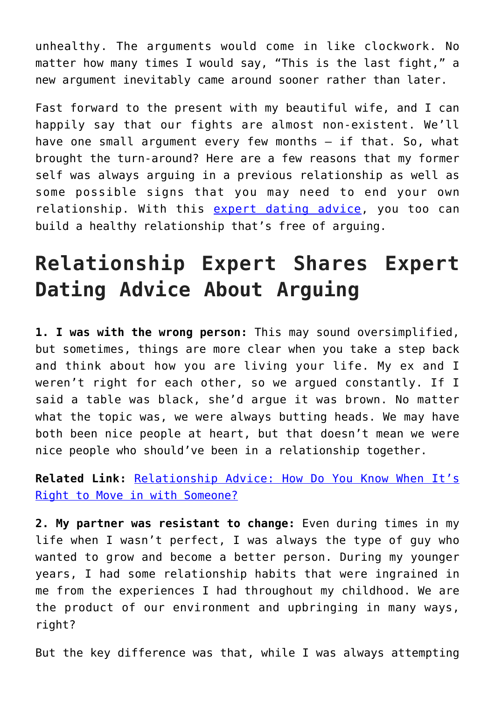unhealthy. The arguments would come in like clockwork. No matter how many times I would say, "This is the last fight," a new argument inevitably came around sooner rather than later.

Fast forward to the present with my beautiful wife, and I can happily say that our fights are almost non-existent. We'll have one small argument every few months — if that. So, what brought the turn-around? Here are a few reasons that my former self was always arguing in a previous relationship as well as some possible signs that you may need to end your own relationship. With this [expert dating advice,](http://cupidspulse.com/relationship-experts/) you too can build a healthy relationship that's free of arguing.

### **Relationship Expert Shares Expert Dating Advice About Arguing**

**1. I was with the wrong person:** This may sound oversimplified, but sometimes, things are more clear when you take a step back and think about how you are living your life. My ex and I weren't right for each other, so we argued constantly. If I said a table was black, she'd argue it was brown. No matter what the topic was, we were always butting heads. We may have both been nice people at heart, but that doesn't mean we were nice people who should've been in a relationship together.

**Related Link:** [Relationship Advice: How Do You Know When It's](http://cupidspulse.com/112327/relationship-advice-moving-in-relationship-experts/) [Right to Move in with Someone?](http://cupidspulse.com/112327/relationship-advice-moving-in-relationship-experts/)

**2. My partner was resistant to change:** Even during times in my life when I wasn't perfect, I was always the type of guy who wanted to grow and become a better person. During my younger years, I had some relationship habits that were ingrained in me from the experiences I had throughout my childhood. We are the product of our environment and upbringing in many ways, right?

But the key difference was that, while I was always attempting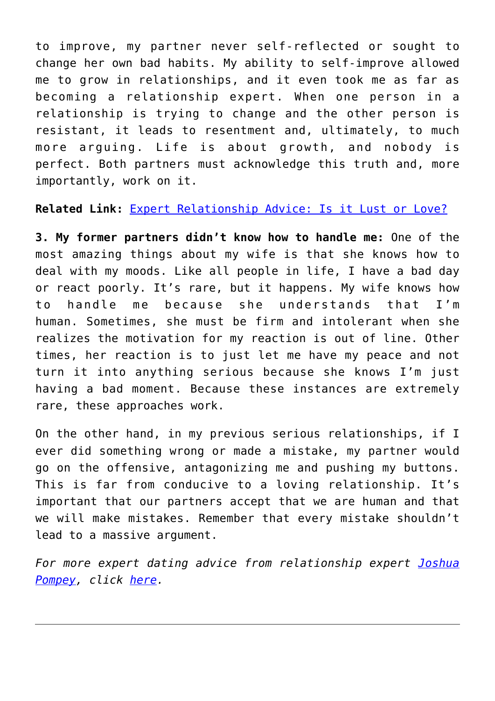to improve, my partner never self-reflected or sought to change her own bad habits. My ability to self-improve allowed me to grow in relationships, and it even took me as far as becoming a relationship expert. When one person in a relationship is trying to change and the other person is resistant, it leads to resentment and, ultimately, to much more arguing. Life is about growth, and nobody is perfect. Both partners must acknowledge this truth and, more importantly, work on it.

#### **Related Link:** [Expert Relationship Advice: Is it Lust or Love?](http://cupidspulse.com/123378/expert-relationship-advice-is-it-lust-or-love/)

**3. My former partners didn't know how to handle me:** One of the most amazing things about my wife is that she knows how to deal with my moods. Like all people in life, I have a bad day or react poorly. It's rare, but it happens. My wife knows how to handle me because she understands that I'm human. Sometimes, she must be firm and intolerant when she realizes the motivation for my reaction is out of line. Other times, her reaction is to just let me have my peace and not turn it into anything serious because she knows I'm just having a bad moment. Because these instances are extremely rare, these approaches work.

On the other hand, in my previous serious relationships, if I ever did something wrong or made a mistake, my partner would go on the offensive, antagonizing me and pushing my buttons. This is far from conducive to a loving relationship. It's important that our partners accept that we are human and that we will make mistakes. Remember that every mistake shouldn't lead to a massive argument.

*For more expert dating advice from relationship expert [Joshua](http://cupidspulse.com/relationship-experts/joshua-pompey/) [Pompey](http://cupidspulse.com/relationship-experts/joshua-pompey/), click [here.](http://www.nemvip.com/are-matchmakers-a-scam)*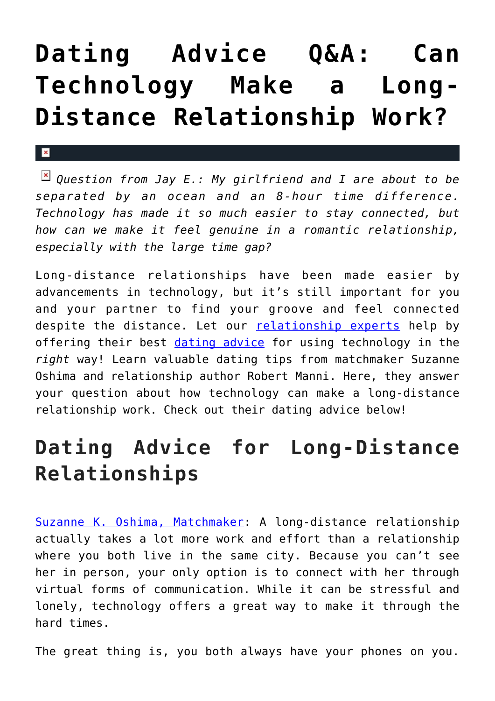## **[Dating Advice Q&A: Can](https://cupidspulse.com/123897/dating-advice-can-techonology-make-a-long-distance-relationship-work/) [Technology Make a Long-](https://cupidspulse.com/123897/dating-advice-can-techonology-make-a-long-distance-relationship-work/)[Distance Relationship Work?](https://cupidspulse.com/123897/dating-advice-can-techonology-make-a-long-distance-relationship-work/)**

*Question from Jay E.: My girlfriend and I are about to be separated by an ocean and an 8-hour time difference. Technology has made it so much easier to stay connected, but how can we make it feel genuine in a romantic relationship, especially with the large time gap?*

 $\mathbf{x}$ 

Long-distance relationships have been made easier by advancements in technology, but it's still important for you and your partner to find your groove and feel connected despite the distance. Let our [relationship experts](http://cupidspulse.com/relationship-experts/) help by offering their best [dating advice](http://cupidspulse.com/videos/dating-advice-videos/) for using technology in the *right* way! Learn valuable dating tips from matchmaker Suzanne Oshima and relationship author Robert Manni. Here, they answer your question about how technology can make a long-distance relationship work. Check out their dating advice below!

### **Dating Advice for Long-Distance Relationships**

[Suzanne K. Oshima, Matchmaker:](http://www.dreambachelor.com/) A long-distance relationship actually takes a lot more work and effort than a relationship where you both live in the same city. Because you can't see her in person, your only option is to connect with her through virtual forms of communication. While it can be stressful and lonely, technology offers a great way to make it through the hard times.

The great thing is, you both always have your phones on you.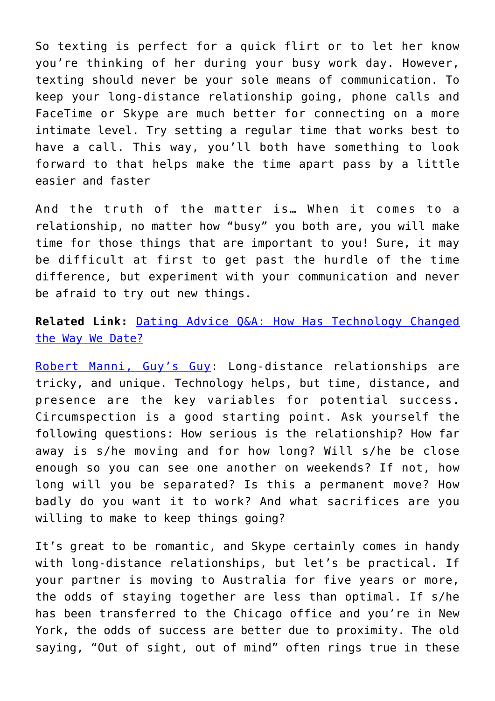So texting is perfect for a quick flirt or to let her know you're thinking of her during your busy work day. However, texting should never be your sole means of communication. To keep your long-distance relationship going, phone calls and FaceTime or Skype are much better for connecting on a more intimate level. Try setting a regular time that works best to have a call. This way, you'll both have something to look forward to that helps make the time apart pass by a little easier and faster

And the truth of the matter is… When it comes to a relationship, no matter how "busy" you both are, you will make time for those things that are important to you! Sure, it may be difficult at first to get past the hurdle of the time difference, but experiment with your communication and never be afraid to try out new things.

**Related Link:** [Dating Advice Q&A: How Has Technology Changed](http://cupidspulse.com/113353/dating-advice-technology-online-dating/) [the Way We Date?](http://cupidspulse.com/113353/dating-advice-technology-online-dating/)

[Robert Manni, Guy's Guy:](http://www.robertmanni.com/) Long-distance relationships are tricky, and unique. Technology helps, but time, distance, and presence are the key variables for potential success. Circumspection is a good starting point. Ask yourself the following questions: How serious is the relationship? How far away is s/he moving and for how long? Will s/he be close enough so you can see one another on weekends? If not, how long will you be separated? Is this a permanent move? How badly do you want it to work? And what sacrifices are you willing to make to keep things going?

It's great to be romantic, and Skype certainly comes in handy with long-distance relationships, but let's be practical. If your partner is moving to Australia for five years or more, the odds of staying together are less than optimal. If s/he has been transferred to the Chicago office and you're in New York, the odds of success are better due to proximity. The old saying, "Out of sight, out of mind" often rings true in these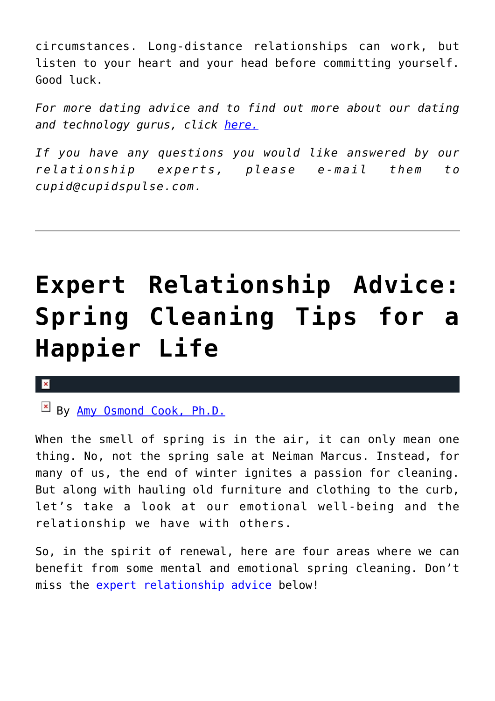circumstances. Long-distance relationships can work, but listen to your heart and your head before committing yourself. Good luck.

*For more dating advice and to find out more about our dating and technology gurus, click [here.](http://cupidspulse.com/relationship-dating-experts/oshima-wyatt-manni-technology-experts/)*

*If you have any questions you would like answered by our relationship experts, please e-mail them to cupid@cupidspulse.com.*

## **[Expert Relationship Advice:](https://cupidspulse.com/123815/expert-relationship-advice-spring-cleaning-tips-for-a-happier-life/) [Spring Cleaning Tips for a](https://cupidspulse.com/123815/expert-relationship-advice-spring-cleaning-tips-for-a-happier-life/) [Happier Life](https://cupidspulse.com/123815/expert-relationship-advice-spring-cleaning-tips-for-a-happier-life/)**

#### $\pmb{\times}$

### By [Amy Osmond Cook, Ph.D.](http://cupidspulse.com/relationship-experts/dr-amy-osmond-cook/)

When the smell of spring is in the air, it can only mean one thing. No, not the spring sale at Neiman Marcus. Instead, for many of us, the end of winter ignites a passion for cleaning. But along with hauling old furniture and clothing to the curb, let's take a look at our emotional well-being and the relationship we have with others.

So, in the spirit of renewal, here are four areas where we can benefit from some mental and emotional spring cleaning. Don't miss the [expert relationship advice](http://cupidspulse.com/relationship-experts/) below!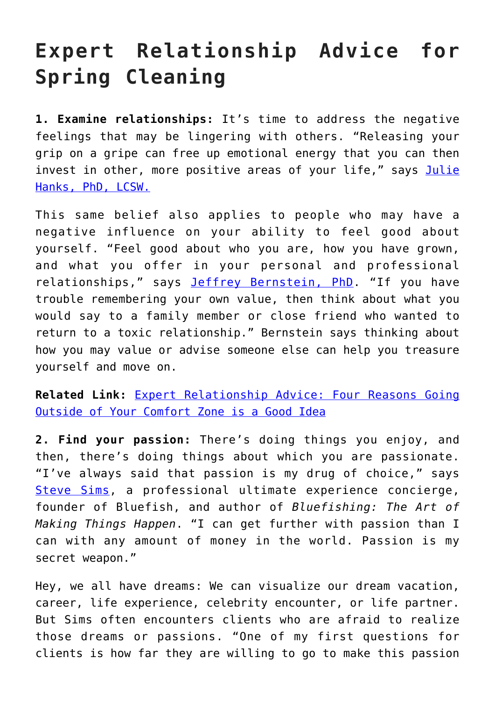### **Expert Relationship Advice for Spring Cleaning**

**1. Examine relationships:** It's time to address the negative feelings that may be lingering with others. "Releasing your grip on a gripe can free up emotional energy that you can then invest in other, more positive areas of your life," says [Julie](https://www.sharecare.com/health/emotional-health/article/6-ways-to-spring-clean-your-mind) [Hanks, PhD, LCSW.](https://www.sharecare.com/health/emotional-health/article/6-ways-to-spring-clean-your-mind)

This same belief also applies to people who may have a negative influence on your ability to feel good about yourself. "Feel good about who you are, how you have grown, and what you offer in your personal and professional relationships," says **[Jeffrey Bernstein, PhD](https://www.psychologytoday.com/us/blog/liking-the-child-you-love/201412/three-steps-getting-out-toxic-relationship-0)**. "If you have trouble remembering your own value, then think about what you would say to a family member or close friend who wanted to return to a toxic relationship." Bernstein says thinking about how you may value or advise someone else can help you treasure yourself and move on.

**Related Link:** [Expert Relationship Advice: Four Reasons Going](http://cupidspulse.com/115552/dating-advice-outside-comfort-zone-good/) [Outside of Your Comfort Zone is a Good Idea](http://cupidspulse.com/115552/dating-advice-outside-comfort-zone-good/)

**2. Find your passion:** There's doing things you enjoy, and then, there's doing things about which you are passionate. "I've always said that passion is my drug of choice," says [Steve Sims,](https://gooddayorangecounty.com/go-ahead-make-my-passion-today/) a professional ultimate experience concierge, founder of Bluefish, and author of *Bluefishing: The Art of Making Things Happen*. "I can get further with passion than I can with any amount of money in the world. Passion is my secret weapon."

Hey, we all have dreams: We can visualize our dream vacation, career, life experience, celebrity encounter, or life partner. But Sims often encounters clients who are afraid to realize those dreams or passions. "One of my first questions for clients is how far they are willing to go to make this passion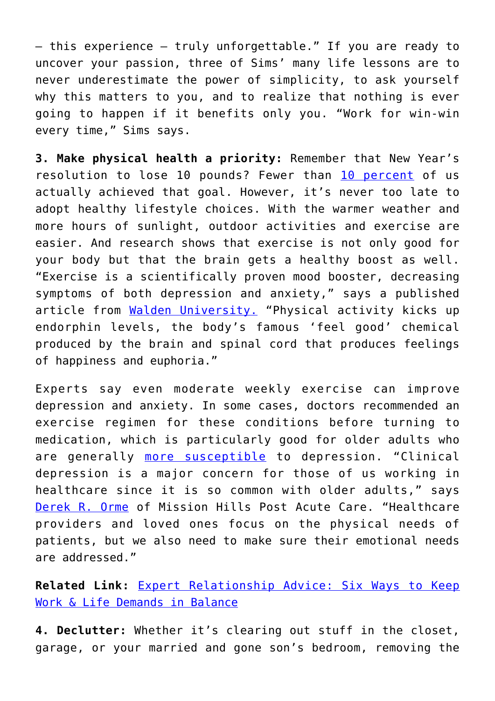— this experience — truly unforgettable." If you are ready to uncover your passion, three of Sims' many life lessons are to never underestimate the power of simplicity, to ask yourself why this matters to you, and to realize that nothing is ever going to happen if it benefits only you. "Work for win-win every time," Sims says.

**3. Make physical health a priority:** Remember that New Year's resolution to lose 10 pounds? Fewer than [10 percent](https://www.statisticbrain.com/new-years-resolution-statistics/) of us actually achieved that goal. However, it's never too late to adopt healthy lifestyle choices. With the warmer weather and more hours of sunlight, outdoor activities and exercise are easier. And research shows that exercise is not only good for your body but that the brain gets a healthy boost as well. "Exercise is a scientifically proven mood booster, decreasing symptoms of both depression and anxiety," says a published article from [Walden University.](https://www.waldenu.edu/bachelors/bs-in-psychology/resource/five-mental-benefits-of-exercise) "Physical activity kicks up endorphin levels, the body's famous 'feel good' chemical produced by the brain and spinal cord that produces feelings of happiness and euphoria."

Experts say even moderate weekly exercise can improve depression and anxiety. In some cases, doctors recommended an exercise regimen for these conditions before turning to medication, which is particularly good for older adults who are generally [more susceptible](http://www.mentalhealthamerica.net/conditions/depression-older-adults-more-facts) to depression. "Clinical depression is a major concern for those of us working in healthcare since it is so common with older adults," says [Derek R. Orme](http://missionhillspostacute.com/) of Mission Hills Post Acute Care. "Healthcare providers and loved ones focus on the physical needs of patients, but we also need to make sure their emotional needs are addressed."

**Related Link:** [Expert Relationship Advice: Six Ways to Keep](http://cupidspulse.com/115027/relationship-advice-keep-work-life-balance/) [Work & Life Demands in Balance](http://cupidspulse.com/115027/relationship-advice-keep-work-life-balance/)

**4. Declutter:** Whether it's clearing out stuff in the closet, garage, or your married and gone son's bedroom, removing the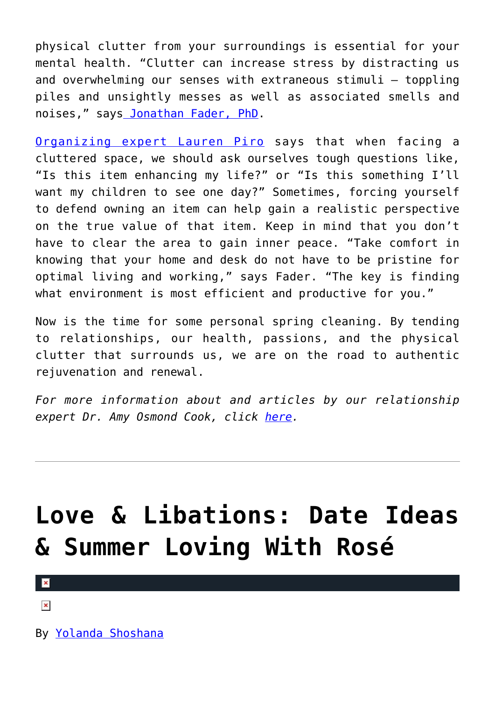physical clutter from your surroundings is essential for your mental health. "Clutter can increase stress by distracting us and overwhelming our senses with extraneous stimuli — toppling piles and unsightly messes as well as associated smells and noises," say[s Jonathan Fader, PhD.](https://www.psychologytoday.com/us/blog/the-new-you/201504/the-psychology-spring-cleaning)

[Organizing expert Lauren Piro](https://www.goodhousekeeping.com/home/organizing/tips/a20042/decluttering-questions/) says that when facing a cluttered space, we should ask ourselves tough questions like, "Is this item enhancing my life?" or "Is this something I'll want my children to see one day?" Sometimes, forcing yourself to defend owning an item can help gain a realistic perspective on the true value of that item. Keep in mind that you don't have to clear the area to gain inner peace. "Take comfort in knowing that your home and desk do not have to be pristine for optimal living and working," says Fader. "The key is finding what environment is most efficient and productive for you."

Now is the time for some personal spring cleaning. By tending to relationships, our health, passions, and the physical clutter that surrounds us, we are on the road to authentic rejuvenation and renewal.

*For more information about and articles by our relationship expert Dr. Amy Osmond Cook, click [here](http://cupidspulse.com/relationship-dating-experts/hope-after-divorce-relationship-experts/).*

## **[Love & Libations: Date Ideas](https://cupidspulse.com/123747/date-ideas-summer-loving-with-rose/) [& Summer Loving With Rosé](https://cupidspulse.com/123747/date-ideas-summer-loving-with-rose/)**

 $\pmb{\times}$ 

 $\pmb{\times}$ 

By [Yolanda Shoshana](http://cupidspulse.com/relationship-experts/yolanda-shoshana/)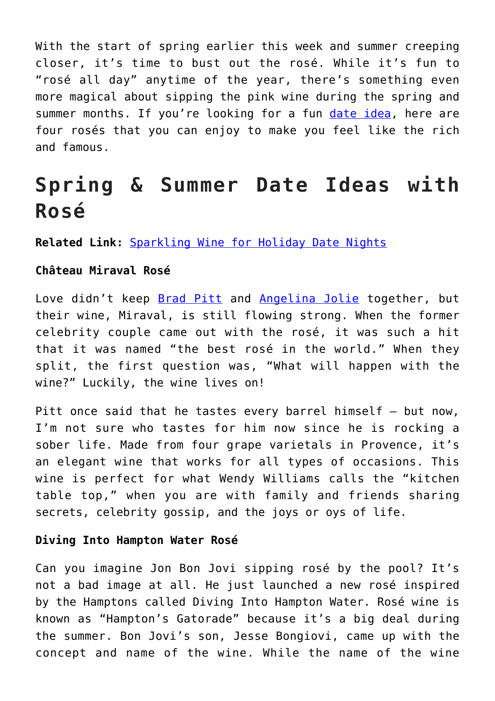With the start of spring earlier this week and summer creeping closer, it's time to bust out the rosé. While it's fun to "rosé all day" anytime of the year, there's something even more magical about sipping the pink wine during the spring and summer months. If you're looking for a fun [date idea](http://cupidspulse.com/love/weekend-date-ideas/), here are four rosés that you can enjoy to make you feel like the rich and famous.

### **Spring & Summer Date Ideas with Rosé**

**Related Link:** [Sparkling Wine for Holiday Date Nights](http://cupidspulse.com/122080/love-libations-sparkling-wine-for-holiday-date-nights/)

#### **Château Miraval Rosé**

Love didn't keep [Brad Pitt](http://cupidspulse.com/88145/brad-pitt/) and [Angelina Jolie](http://cupidspulse.com/86085/angelina-jolie/) together, but their wine, Miraval, is still flowing strong. When the former celebrity couple came out with the rosé, it was such a hit that it was named "the best rosé in the world." When they split, the first question was, "What will happen with the wine?" Luckily, the wine lives on!

Pitt once said that he tastes every barrel himself - but now, I'm not sure who tastes for him now since he is rocking a sober life. Made from four grape varietals in Provence, it's an elegant wine that works for all types of occasions. This wine is perfect for what Wendy Williams calls the "kitchen table top," when you are with family and friends sharing secrets, celebrity gossip, and the joys or oys of life.

#### **Diving Into Hampton Water Rosé**

Can you imagine Jon Bon Jovi sipping rosé by the pool? It's not a bad image at all. He just launched a new rosé inspired by the Hamptons called Diving Into Hampton Water. Rosé wine is known as "Hampton's Gatorade" because it's a big deal during the summer. Bon Jovi's son, Jesse Bongiovi, came up with the concept and name of the wine. While the name of the wine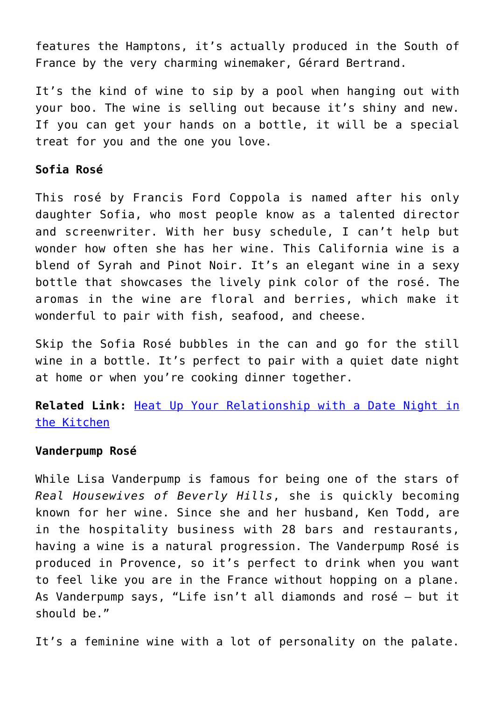features the Hamptons, it's actually produced in the South of France by the very charming winemaker, Gérard Bertrand.

It's the kind of wine to sip by a pool when hanging out with your boo. The wine is selling out because it's shiny and new. If you can get your hands on a bottle, it will be a special treat for you and the one you love.

#### **Sofia Rosé**

This rosé by Francis Ford Coppola is named after his only daughter Sofia, who most people know as a talented director and screenwriter. With her busy schedule, I can't help but wonder how often she has her wine. This California wine is a blend of Syrah and Pinot Noir. It's an elegant wine in a sexy bottle that showcases the lively pink color of the rosé. The aromas in the wine are floral and berries, which make it wonderful to pair with fish, seafood, and cheese.

Skip the Sofia Rosé bubbles in the can and go for the still wine in a bottle. It's perfect to pair with a quiet date night at home or when you're cooking dinner together.

**Related Link:** [Heat Up Your Relationship with a Date Night in](http://cupidspulse.com/123332/date-night-in-the-kitchen/) [the Kitchen](http://cupidspulse.com/123332/date-night-in-the-kitchen/)

#### **Vanderpump Rosé**

While Lisa Vanderpump is famous for being one of the stars of *Real Housewives of Beverly Hills*, she is quickly becoming known for her wine. Since she and her husband, Ken Todd, are in the hospitality business with 28 bars and restaurants, having a wine is a natural progression. The Vanderpump Rosé is produced in Provence, so it's perfect to drink when you want to feel like you are in the France without hopping on a plane. As Vanderpump says, "Life isn't all diamonds and rosé — but it should be."

It's a feminine wine with a lot of personality on the palate.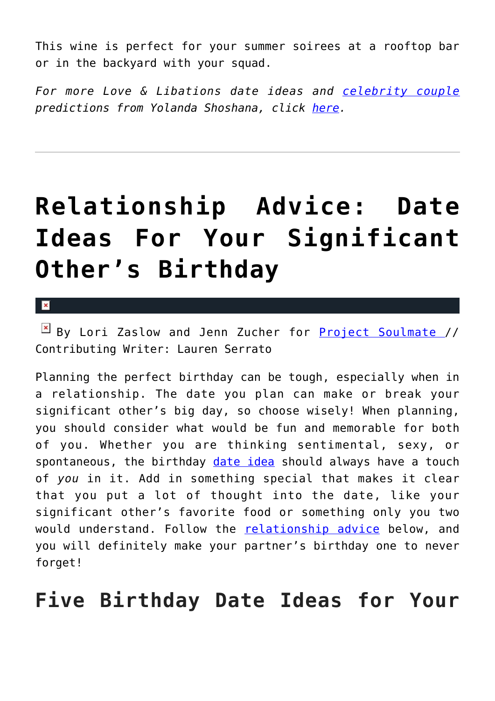This wine is perfect for your summer soirees at a rooftop bar or in the backyard with your squad.

*For more Love & Libations date ideas and [celebrity couple](http://cupidspulse.com/celebrity-news/celebrity-dating/) predictions from Yolanda Shoshana, click [here](http://cupidspulse.com/relationship-experts/yolanda-shoshana/).* 

## **[Relationship Advice: Date](https://cupidspulse.com/123548/relationship-advice-date-ideas-for-birthday/) [Ideas For Your Significant](https://cupidspulse.com/123548/relationship-advice-date-ideas-for-birthday/) [Other's Birthday](https://cupidspulse.com/123548/relationship-advice-date-ideas-for-birthday/)**

×

 $\boxed{\times}$  By Lori Zaslow and Jenn Zucher for [Project Soulmate](http://www.projectsoulmate.com/) // Contributing Writer: Lauren Serrato

Planning the perfect birthday can be tough, especially when in a relationship. The date you plan can make or break your significant other's big day, so choose wisely! When planning, you should consider what would be fun and memorable for both of you. Whether you are thinking sentimental, sexy, or spontaneous, the birthday [date idea](http://cupidspulse.com/love/weekend-date-ideas/) should always have a touch of *you* in it. Add in something special that makes it clear that you put a lot of thought into the date, like your significant other's favorite food or something only you two would understand. Follow the [relationship advice](http://cupidspulse.com/love/relationship-advice-articles/) below, and you will definitely make your partner's birthday one to never forget!

**Five Birthday Date Ideas for Your**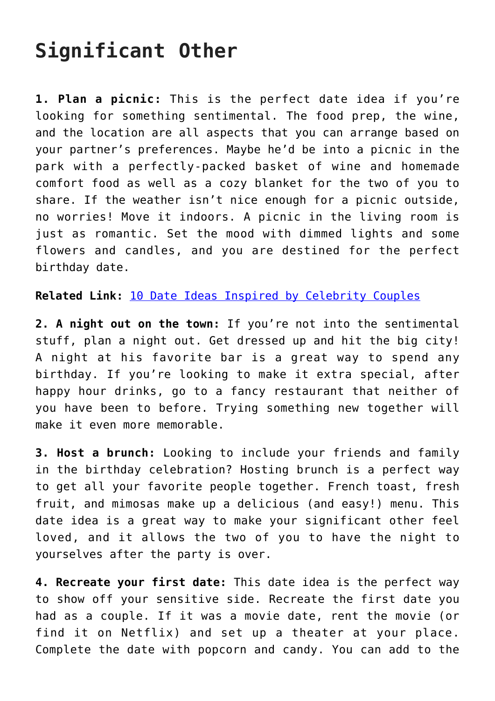### **Significant Other**

**1. Plan a picnic:** This is the perfect date idea if you're looking for something sentimental. The food prep, the wine, and the location are all aspects that you can arrange based on your partner's preferences. Maybe he'd be into a picnic in the park with a perfectly-packed basket of wine and homemade comfort food as well as a cozy blanket for the two of you to share. If the weather isn't nice enough for a picnic outside, no worries! Move it indoors. A picnic in the living room is just as romantic. Set the mood with dimmed lights and some flowers and candles, and you are destined for the perfect birthday date.

**Related Link:** [10 Date Ideas Inspired by Celebrity Couples](http://cupidspulse.com/122799/10-valentines-day-date-ideas-inspired-by-celebrity-couples/)

**2. A night out on the town:** If you're not into the sentimental stuff, plan a night out. Get dressed up and hit the big city! A night at his favorite bar is a great way to spend any birthday. If you're looking to make it extra special, after happy hour drinks, go to a fancy restaurant that neither of you have been to before. Trying something new together will make it even more memorable.

**3. Host a brunch:** Looking to include your friends and family in the birthday celebration? Hosting brunch is a perfect way to get all your favorite people together. French toast, fresh fruit, and mimosas make up a delicious (and easy!) menu. This date idea is a great way to make your significant other feel loved, and it allows the two of you to have the night to yourselves after the party is over.

**4. Recreate your first date:** This date idea is the perfect way to show off your sensitive side. Recreate the first date you had as a couple. If it was a movie date, rent the movie (or find it on Netflix) and set up a theater at your place. Complete the date with popcorn and candy. You can add to the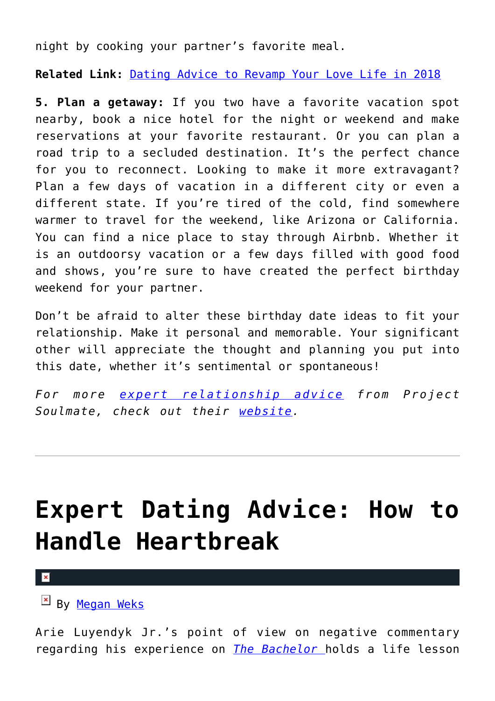night by cooking your partner's favorite meal.

**Related Link:** [Dating Advice to Revamp Your Love Life in 2018](http://cupidspulse.com/122031/project-soulmate-dating-advice-to-revamp-your-love-life/)

**5. Plan a getaway:** If you two have a favorite vacation spot nearby, book a nice hotel for the night or weekend and make reservations at your favorite restaurant. Or you can plan a road trip to a secluded destination. It's the perfect chance for you to reconnect. Looking to make it more extravagant? Plan a few days of vacation in a different city or even a different state. If you're tired of the cold, find somewhere warmer to travel for the weekend, like Arizona or California. You can find a nice place to stay through Airbnb. Whether it is an outdoorsy vacation or a few days filled with good food and shows, you're sure to have created the perfect birthday weekend for your partner.

Don't be afraid to alter these birthday date ideas to fit your relationship. Make it personal and memorable. Your significant other will appreciate the thought and planning you put into this date, whether it's sentimental or spontaneous!

*For more [expert relationship advice](http://cupidspulse.com/relationship-experts/) from Project Soulmate, check out their [website.](http://www.projectsoulmate.com/blog/)*

## **[Expert Dating Advice: How to](https://cupidspulse.com/123523/expert-dating-advice-heartbreak-the-bachelor/) [Handle Heartbreak](https://cupidspulse.com/123523/expert-dating-advice-heartbreak-the-bachelor/)**

By [Megan Weks](http://cupidspulse.com/relationship-experts/megan-weks/)

Arie Luyendyk Jr.'s point of view on negative commentary regarding his experience on *[The Bachelor](http://cupidspulse.com/celebrity-news/reality-tv/the-bachelor/)* holds a life lesson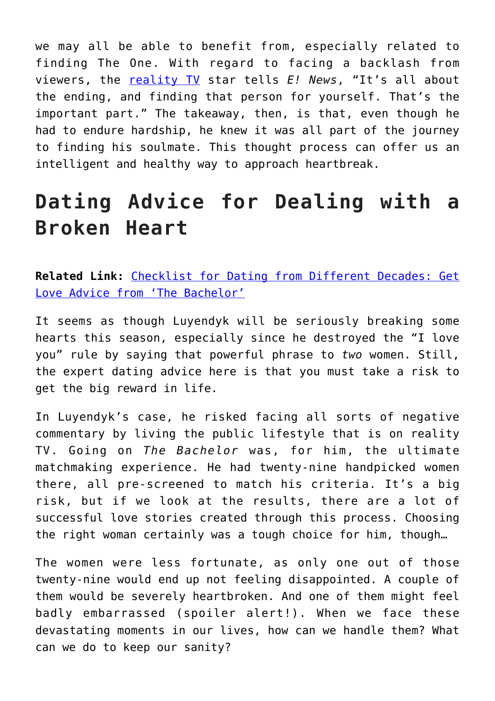we may all be able to benefit from, especially related to finding The One. With regard to facing a backlash from viewers, the [reality TV](http://cupidspulse.com/celebrity-news/reality-tv/) star tells *E! News*, "It's all about the ending, and finding that person for yourself. That's the important part." The takeaway, then, is that, even though he had to endure hardship, he knew it was all part of the journey to finding his soulmate. This thought process can offer us an intelligent and healthy way to approach heartbreak.

### **Dating Advice for Dealing with a Broken Heart**

**Related Link:** [Checklist for Dating from Different Decades: Get](http://cupidspulse.com/122743/dating-from-different-decades-love-advice-from-bachelor-star-arie-luyendyk-jr/) [Love Advice from 'The Bachelor'](http://cupidspulse.com/122743/dating-from-different-decades-love-advice-from-bachelor-star-arie-luyendyk-jr/)

It seems as though Luyendyk will be seriously breaking some hearts this season, especially since he destroyed the "I love you" rule by saying that powerful phrase to *two* women. Still, the expert dating advice here is that you must take a risk to get the big reward in life.

In Luyendyk's case, he risked facing all sorts of negative commentary by living the public lifestyle that is on reality TV. Going on *The Bachelor* was, for him, the ultimate matchmaking experience. He had twenty-nine handpicked women there, all pre-screened to match his criteria. It's a big risk, but if we look at the results, there are a lot of successful love stories created through this process. Choosing the right woman certainly was a tough choice for him, though…

The women were less fortunate, as only one out of those twenty-nine would end up not feeling disappointed. A couple of them would be severely heartbroken. And one of them might feel badly embarrassed (spoiler alert!). When we face these devastating moments in our lives, how can we handle them? What can we do to keep our sanity?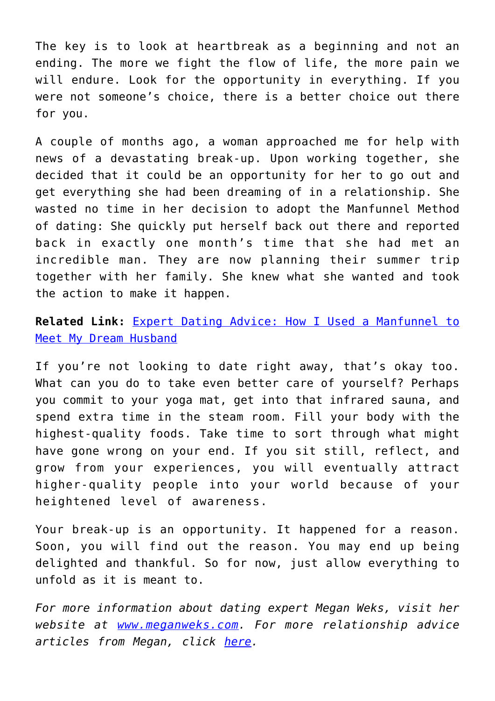The key is to look at heartbreak as a beginning and not an ending. The more we fight the flow of life, the more pain we will endure. Look for the opportunity in everything. If you were not someone's choice, there is a better choice out there for you.

A couple of months ago, a woman approached me for help with news of a devastating break-up. Upon working together, she decided that it could be an opportunity for her to go out and get everything she had been dreaming of in a relationship. She wasted no time in her decision to adopt the Manfunnel Method of dating: She quickly put herself back out there and reported back in exactly one month's time that she had met an incredible man. They are now planning their summer trip together with her family. She knew what she wanted and took the action to make it happen.

**Related Link:** [Expert Dating Advice: How I Used a Manfunnel to](http://cupidspulse.com/120613/expert-relationship-advice-megan-weks-manfunnel/) [Meet My Dream Husband](http://cupidspulse.com/120613/expert-relationship-advice-megan-weks-manfunnel/)

If you're not looking to date right away, that's okay too. What can you do to take even better care of yourself? Perhaps you commit to your yoga mat, get into that infrared sauna, and spend extra time in the steam room. Fill your body with the highest-quality foods. Take time to sort through what might have gone wrong on your end. If you sit still, reflect, and grow from your experiences, you will eventually attract higher-quality people into your world because of your heightened level of awareness.

Your break-up is an opportunity. It happened for a reason. Soon, you will find out the reason. You may end up being delighted and thankful. So for now, just allow everything to unfold as it is meant to.

*For more information about dating expert Megan Weks, visit her website at [www.meganweks.com](http://www.meganweks.com/). For more relationship advice articles from Megan, click [here](http://cupidspulse.com/relationship-experts/megan-weks/).*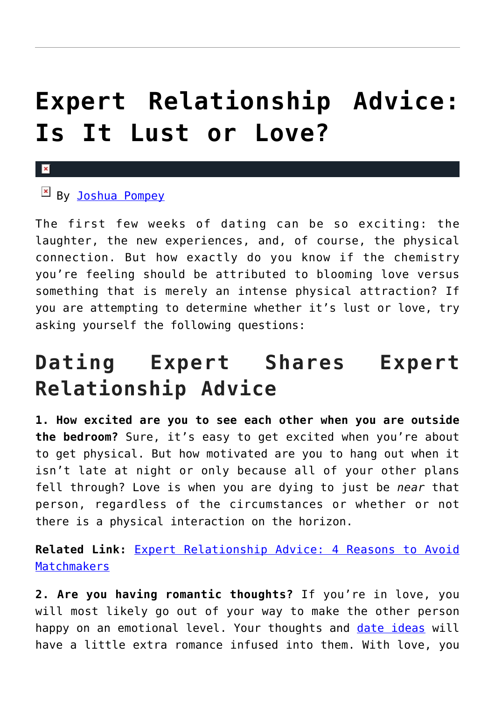## **[Expert Relationship Advice:](https://cupidspulse.com/123378/expert-relationship-advice-is-it-lust-or-love/) [Is It Lust or Love?](https://cupidspulse.com/123378/expert-relationship-advice-is-it-lust-or-love/)**

#### $\mathbf x$

### **EX By [Joshua Pompey](http://cupidspulse.com/relationship-experts/joshua-pompey/)**

The first few weeks of dating can be so exciting: the laughter, the new experiences, and, of course, the physical connection. But how exactly do you know if the chemistry you're feeling should be attributed to blooming love versus something that is merely an intense physical attraction? If you are attempting to determine whether it's lust or love, try asking yourself the following questions:

### **Dating Expert Shares Expert Relationship Advice**

**1. How excited are you to see each other when you are outside the bedroom?** Sure, it's easy to get excited when you're about to get physical. But how motivated are you to hang out when it isn't late at night or only because all of your other plans fell through? Love is when you are dying to just be *near* that person, regardless of the circumstances or whether or not there is a physical interaction on the horizon.

**Related Link:** [Expert Relationship Advice: 4 Reasons to Avoid](http://cupidspulse.com/122539/dating-advice-4-reasons-to-avoid-matchmakers/) **[Matchmakers](http://cupidspulse.com/122539/dating-advice-4-reasons-to-avoid-matchmakers/)** 

**2. Are you having romantic thoughts?** If you're in love, you will most likely go out of your way to make the other person happy on an emotional level. Your thoughts and [date ideas](http://cupidspulse.com/love/weekend-date-ideas/) will have a little extra romance infused into them. With love, you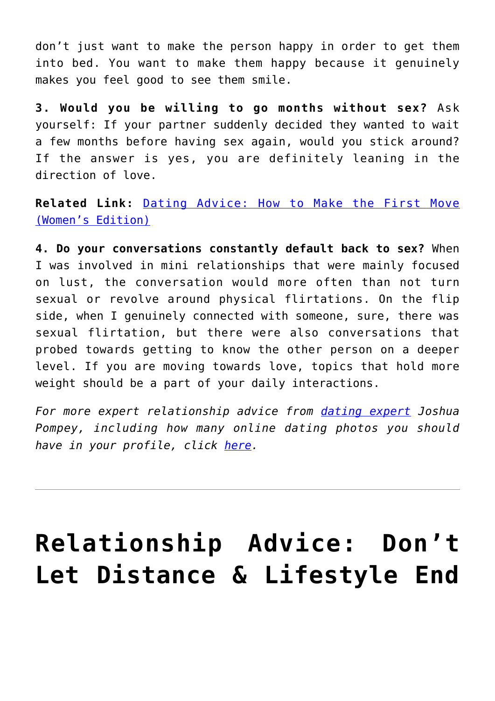don't just want to make the person happy in order to get them into bed. You want to make them happy because it genuinely makes you feel good to see them smile.

**3. Would you be willing to go months without sex?** Ask yourself: If your partner suddenly decided they wanted to wait a few months before having sex again, would you stick around? If the answer is yes, you are definitely leaning in the direction of love.

**Related Link:** [Dating Advice: How to Make the First Move](http://cupidspulse.com/119903/dating-advice-make-first-move-womens-edition/) [\(Women's Edition\)](http://cupidspulse.com/119903/dating-advice-make-first-move-womens-edition/)

**4. Do your conversations constantly default back to sex?** When I was involved in mini relationships that were mainly focused on lust, the conversation would more often than not turn sexual or revolve around physical flirtations. On the flip side, when I genuinely connected with someone, sure, there was sexual flirtation, but there were also conversations that probed towards getting to know the other person on a deeper level. If you are moving towards love, topics that hold more weight should be a part of your daily interactions.

*For more expert relationship advice from [dating expert](http://cupidspulse.com/relationship-experts/) Joshua Pompey, including how many online dating photos you should have in your profile, click [here.](https://joshuapompey.com/women/many-online-dating-pictures/)*

## **[Relationship Advice: Don't](https://cupidspulse.com/123354/relationship-advice-distance-lifestyle-affect-relationship-dr-greer/) [Let Distance & Lifestyle End](https://cupidspulse.com/123354/relationship-advice-distance-lifestyle-affect-relationship-dr-greer/)**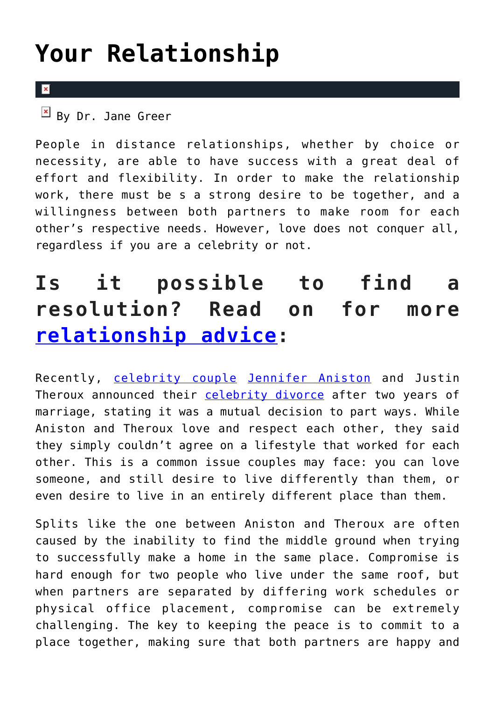## **[Your Relationship](https://cupidspulse.com/123354/relationship-advice-distance-lifestyle-affect-relationship-dr-greer/)**

#### $\mathbf{R}$

People in distance relationships, whether by choice or necessity, are able to have success with a great deal of effort and flexibility. In order to make the relationship work, there must be s a strong desire to be together, and a willingness between both partners to make room for each other's respective needs. However, love does not conquer all, regardless if you are a celebrity or not.

### **Is it possible to find a resolution? Read on for more [relationship advice:](http://cupidspulse.com/relationship-experts/)**

Recently, [celebrity couple](http://cupidspulse.com/celebrity-news/celebrity-dating/) [Jennifer Aniston](http://cupidspulse.com/86079/jennifer-aniston/) and Justin Theroux announced their [celebrity divorce](http://cupidspulse.com/celebrity-news/celebrity-break-ups/) after two years of marriage, stating it was a mutual decision to part ways. While Aniston and Theroux love and respect each other, they said they simply couldn't agree on a lifestyle that worked for each other. This is a common issue couples may face: you can love someone, and still desire to live differently than them, or even desire to live in an entirely different place than them.

Splits like the one between Aniston and Theroux are often caused by the inability to find the middle ground when trying to successfully make a home in the same place. Compromise is hard enough for two people who live under the same roof, but when partners are separated by differing work schedules or physical office placement, compromise can be extremely challenging. The key to keeping the peace is to commit to a place together, making sure that both partners are happy and

 $\overline{B}$  By Dr. Jane Greer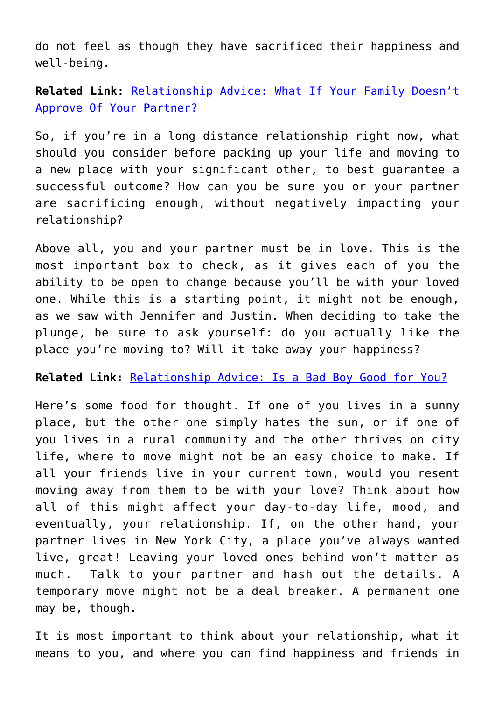do not feel as though they have sacrificed their happiness and well-being.

**Related Link:** [Relationship Advice: What If Your Family Doesn't](http://cupidspulse.com/122697/relationship-advice-family-doesnt-approve-partner-dr-greer/) [Approve Of Your Partner?](http://cupidspulse.com/122697/relationship-advice-family-doesnt-approve-partner-dr-greer/)

So, if you're in a long distance relationship right now, what should you consider before packing up your life and moving to a new place with your significant other, to best guarantee a successful outcome? How can you be sure you or your partner are sacrificing enough, without negatively impacting your relationship?

Above all, you and your partner must be in love. This is the most important box to check, as it gives each of you the ability to be open to change because you'll be with your loved one. While this is a starting point, it might not be enough, as we saw with Jennifer and Justin. When deciding to take the plunge, be sure to ask yourself: do you actually like the place you're moving to? Will it take away your happiness?

#### **Related Link:** [Relationship Advice: Is a Bad Boy Good for You?](http://cupidspulse.com/121689/relationship-advice-is-a-bad-boy-good-for-you/)

Here's some food for thought. If one of you lives in a sunny place, but the other one simply hates the sun, or if one of you lives in a rural community and the other thrives on city life, where to move might not be an easy choice to make. If all your friends live in your current town, would you resent moving away from them to be with your love? Think about how all of this might affect your day-to-day life, mood, and eventually, your relationship. If, on the other hand, your partner lives in New York City, a place you've always wanted live, great! Leaving your loved ones behind won't matter as much. Talk to your partner and hash out the details. A temporary move might not be a deal breaker. A permanent one may be, though.

It is most important to think about your relationship, what it means to you, and where you can find happiness and friends in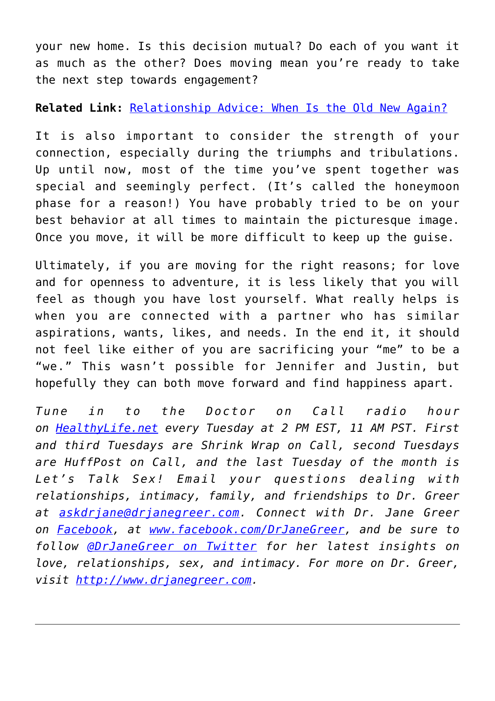your new home. Is this decision mutual? Do each of you want it as much as the other? Does moving mean you're ready to take the next step towards engagement?

#### **Related Link:** [Relationship Advice: When Is the Old New Again?](http://cupidspulse.com/121548/121548relationship-advice-when-is-old-new-again-dr-jane-greer/)

It is also important to consider the strength of your connection, especially during the triumphs and tribulations. Up until now, most of the time you've spent together was special and seemingly perfect. (It's called the honeymoon phase for a reason!) You have probably tried to be on your best behavior at all times to maintain the picturesque image. Once you move, it will be more difficult to keep up the guise.

Ultimately, if you are moving for the right reasons; for love and for openness to adventure, it is less likely that you will feel as though you have lost yourself. What really helps is when you are connected with a partner who has similar aspirations, wants, likes, and needs. In the end it, it should not feel like either of you are sacrificing your "me" to be a "we." This wasn't possible for Jennifer and Justin, but hopefully they can both move forward and find happiness apart.

*Tune in to the Doctor on Call radio hour on [HealthyLife.net](http://www.healthylife.net/) every Tuesday at 2 PM EST, 11 AM PST. First and third Tuesdays are Shrink Wrap on Call, second Tuesdays are HuffPost on Call, and the last Tuesday of the month is Let's Talk Sex! Email your questions dealing with relationships, intimacy, family, and friendships to Dr. Greer at [askdrjane@drjanegreer.com](mailto:askdrjane@drjanegreer.com). Connect with Dr. Jane Greer on [Facebook,](http://www.facebook.com/DrJaneGreer) at [www.facebook.com/DrJaneGreer,](http://www.facebook.com/DrJaneGreer) and be sure to follow [@DrJaneGreer on Twitter](https://twitter.com/#!/DrJaneGreer) for her latest insights on love, relationships, sex, and intimacy. For more on Dr. Greer, visit [http://www.drjanegreer.com.](http://www.drjanegreer.com/)*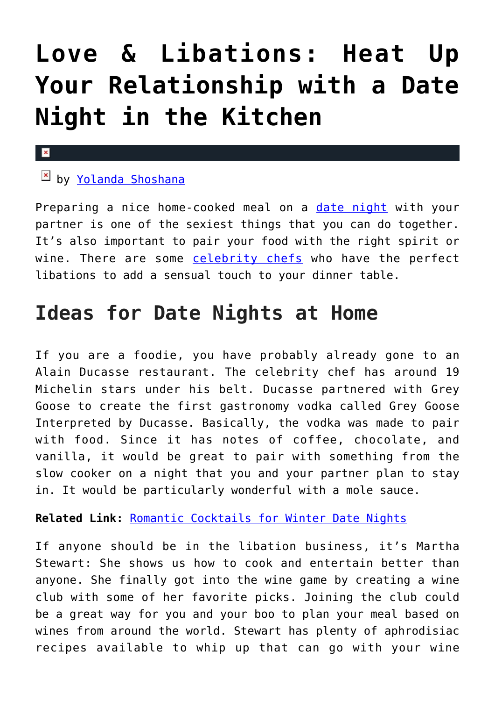## **[Love & Libations: Heat Up](https://cupidspulse.com/123332/date-night-in-the-kitchen/) [Your Relationship with a Date](https://cupidspulse.com/123332/date-night-in-the-kitchen/) [Night in the Kitchen](https://cupidspulse.com/123332/date-night-in-the-kitchen/)**

#### $\mathbf x$

### $\boxed{\times}$  by [Yolanda Shoshana](http://cupidspulse.com/relationship-experts/yolanda-shoshana/)

Preparing a nice home-cooked meal on a [date night](http://cupidspulse.com/love/weekend-date-ideas/) with your partner is one of the sexiest things that you can do together. It's also important to pair your food with the right spirit or wine. There are some [celebrity chefs](http://cupidspulse.com/food/) who have the perfect libations to add a sensual touch to your dinner table.

### **Ideas for Date Nights at Home**

If you are a foodie, you have probably already gone to an Alain Ducasse restaurant. The celebrity chef has around 19 Michelin stars under his belt. Ducasse partnered with Grey Goose to create the first gastronomy vodka called Grey Goose Interpreted by Ducasse. Basically, the vodka was made to pair with food. Since it has notes of coffee, chocolate, and vanilla, it would be great to pair with something from the slow cooker on a night that you and your partner plan to stay in. It would be particularly wonderful with a mole sauce.

### **Related Link:** [Romantic Cocktails for Winter Date Nights](http://cupidspulse.com/122581/valentines-day-cocktails-for-february-date-nights/)

If anyone should be in the libation business, it's Martha Stewart: She shows us how to cook and entertain better than anyone. She finally got into the wine game by creating a wine club with some of her favorite picks. Joining the club could be a great way for you and your boo to plan your meal based on wines from around the world. Stewart has plenty of aphrodisiac recipes available to whip up that can go with your wine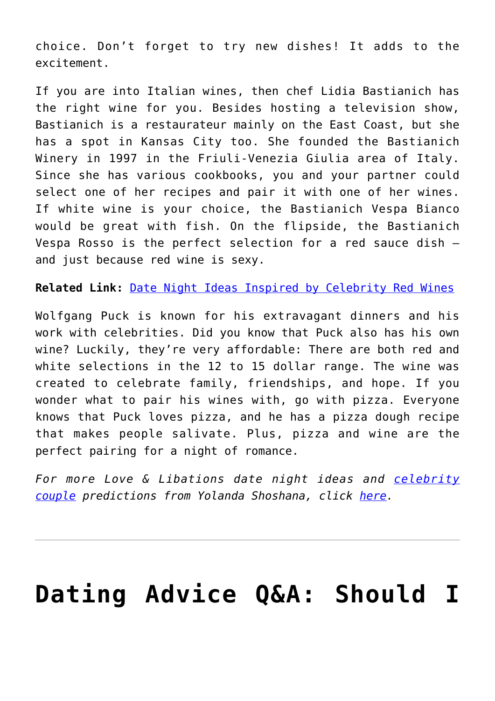choice. Don't forget to try new dishes! It adds to the excitement.

If you are into Italian wines, then chef Lidia Bastianich has the right wine for you. Besides hosting a television show, Bastianich is a restaurateur mainly on the East Coast, but she has a spot in Kansas City too. She founded the Bastianich Winery in 1997 in the Friuli-Venezia Giulia area of Italy. Since she has various cookbooks, you and your partner could select one of her recipes and pair it with one of her wines. If white wine is your choice, the Bastianich Vespa Bianco would be great with fish. On the flipside, the Bastianich Vespa Rosso is the perfect selection for a red sauce dish and just because red wine is sexy.

**Related Link:** [Date Night Ideas Inspired by Celebrity Red Wines](http://cupidspulse.com/121075/autumn-date-night-ideas-celebrity-red-wines/)

Wolfgang Puck is known for his extravagant dinners and his work with celebrities. Did you know that Puck also has his own wine? Luckily, they're very affordable: There are both red and white selections in the 12 to 15 dollar range. The wine was created to celebrate family, friendships, and hope. If you wonder what to pair his wines with, go with pizza. Everyone knows that Puck loves pizza, and he has a pizza dough recipe that makes people salivate. Plus, pizza and wine are the perfect pairing for a night of romance.

*For more Love & Libations date night ideas and [celebrity](http://cupidspulse.com/celebrity-news/celebrity-dating/) [couple](http://cupidspulse.com/celebrity-news/celebrity-dating/) predictions from Yolanda Shoshana, click [here](http://cupidspulse.com/relationship-experts/yolanda-shoshana/).* 

## **[Dating Advice Q&A: Should I](https://cupidspulse.com/123254/dating-advice-remain-friends-with-my-ex-online/)**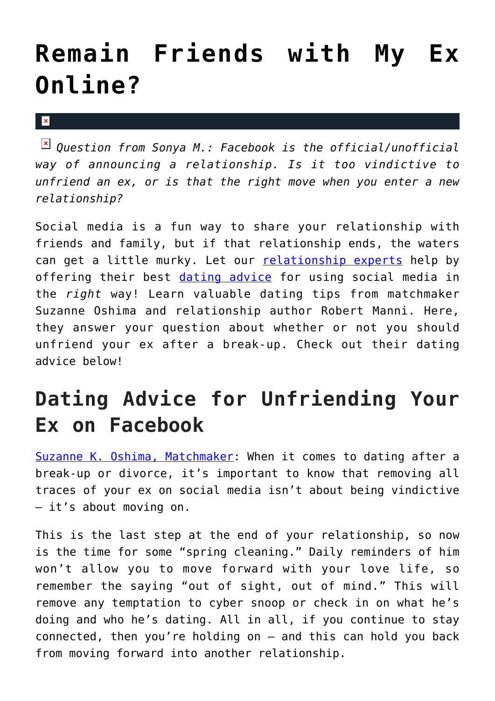### **[Remain Friends with My Ex](https://cupidspulse.com/123254/dating-advice-remain-friends-with-my-ex-online/) [Online?](https://cupidspulse.com/123254/dating-advice-remain-friends-with-my-ex-online/)**

 $\mathbf{x}$ 

*Question from Sonya M.: Facebook is the official/unofficial way of announcing a relationship. Is it too vindictive to unfriend an ex, or is that the right move when you enter a new relationship?*

Social media is a fun way to share your relationship with friends and family, but if that relationship ends, the waters can get a little murky. Let our [relationship experts](http://cupidspulse.com/relationship-experts/) help by offering their best [dating advice](http://cupidspulse.com/videos/dating-advice-videos/) for using social media in the *right* way! Learn valuable dating tips from matchmaker Suzanne Oshima and relationship author Robert Manni. Here, they answer your question about whether or not you should unfriend your ex after a break-up. Check out their dating advice below!

### **Dating Advice for Unfriending Your Ex on Facebook**

[Suzanne K. Oshima, Matchmaker:](http://www.dreambachelor.com/) When it comes to dating after a break-up or divorce, it's important to know that removing all traces of your ex on social media isn't about being vindictive — it's about moving on.

This is the last step at the end of your relationship, so now is the time for some "spring cleaning." Daily reminders of him won't allow you to move forward with your love life, so remember the saying "out of sight, out of mind." This will remove any temptation to cyber snoop or check in on what he's doing and who he's dating. All in all, if you continue to stay connected, then you're holding on — and this can hold you back from moving forward into another relationship.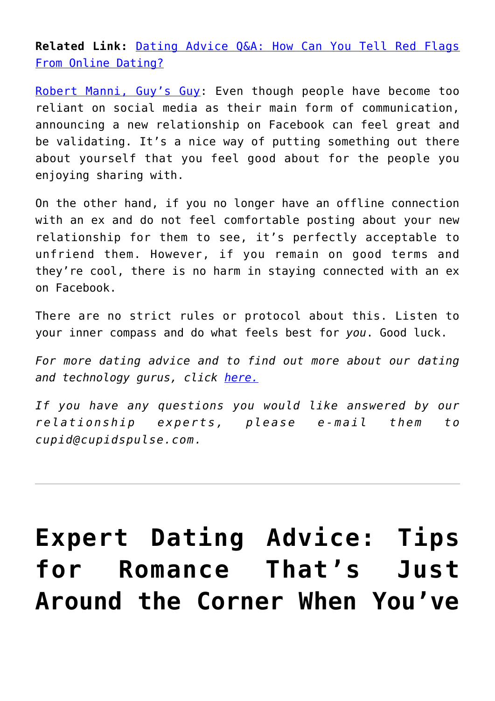**Related Link:** [Dating Advice Q&A: How Can You Tell Red Flags](http://cupidspulse.com/114717/dating-advice-tell-red-flags-online/) [From Online Dating?](http://cupidspulse.com/114717/dating-advice-tell-red-flags-online/)

[Robert Manni, Guy's Guy](http://www.robertmanni.com/): Even though people have become too reliant on social media as their main form of communication, announcing a new relationship on Facebook can feel great and be validating. It's a nice way of putting something out there about yourself that you feel good about for the people you enjoying sharing with.

On the other hand, if you no longer have an offline connection with an ex and do not feel comfortable posting about your new relationship for them to see, it's perfectly acceptable to unfriend them. However, if you remain on good terms and they're cool, there is no harm in staying connected with an ex on Facebook.

There are no strict rules or protocol about this. Listen to your inner compass and do what feels best for *you*. Good luck.

*For more dating advice and to find out more about our dating and technology gurus, click [here.](http://cupidspulse.com/relationship-dating-experts/oshima-wyatt-manni-technology-experts/)*

*If you have any questions you would like answered by our relationship experts, please e-mail them to cupid@cupidspulse.com.*

## **[Expert Dating Advice: Tips](https://cupidspulse.com/123115/expert-dating-advice-for-older-adults/) [for Romance That's Just](https://cupidspulse.com/123115/expert-dating-advice-for-older-adults/) [Around the Corner When You've](https://cupidspulse.com/123115/expert-dating-advice-for-older-adults/)**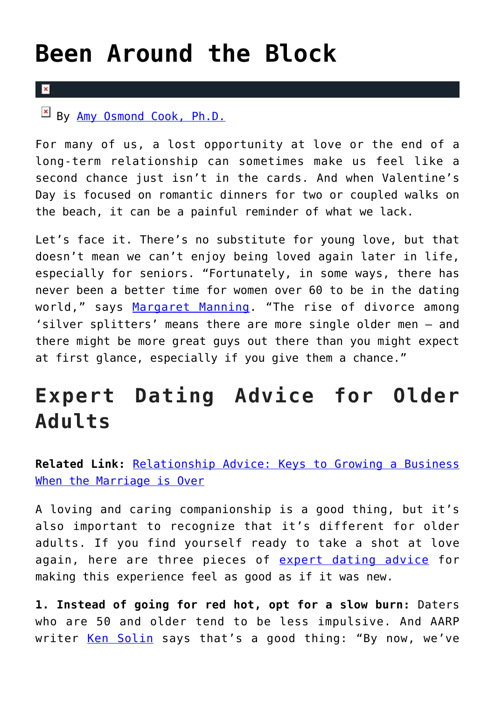### **[Been Around the Block](https://cupidspulse.com/123115/expert-dating-advice-for-older-adults/)**

#### $\overline{\mathbf{x}}$

By [Amy Osmond Cook, Ph.D.](http://cupidspulse.com/relationship-experts/dr-amy-osmond-cook/)

For many of us, a lost opportunity at love or the end of a long-term relationship can sometimes make us feel like a second chance just isn't in the cards. And when Valentine's Day is focused on romantic dinners for two or coupled walks on the beach, it can be a painful reminder of what we lack.

Let's face it. There's no substitute for young love, but that doesn't mean we can't enjoy being loved again later in life, especially for seniors. "Fortunately, in some ways, there has never been a better time for women over 60 to be in the dating world," says [Margaret Manning.](http://sixtyandme.com/what-do-older-men-want-when-it-comes-to-dating/) "The rise of divorce among 'silver splitters' means there are more single older men — and there might be more great guys out there than you might expect at first glance, especially if you give them a chance."

### **Expert Dating Advice for Older Adults**

**Related Link:** [Relationship Advice: Keys to Growing a Business](http://cupidspulse.com/122299/relationship-advice-growing-a-business-after-divorce/) [When the Marriage is Over](http://cupidspulse.com/122299/relationship-advice-growing-a-business-after-divorce/)

A loving and caring companionship is a good thing, but it's also important to recognize that it's different for older adults. If you find yourself ready to take a shot at love again, here are three pieces of [expert dating advice](http://cupidspulse.com/love/relationship-advice-articles/) for making this experience feel as good as if it was new.

**1. Instead of going for red hot, opt for a slow burn:** Daters who are 50 and older tend to be less impulsive. And AARP writer [Ken Solin](https://www.aarp.org/home-family/dating/info-01-2013/senior-dating-first-date-solin.html) says that's a good thing: "By now, we've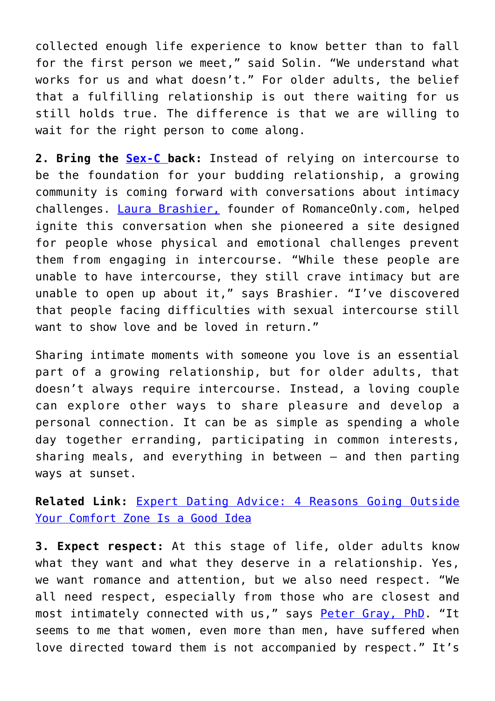collected enough life experience to know better than to fall for the first person we meet," said Solin. "We understand what works for us and what doesn't." For older adults, the belief that a fulfilling relationship is out there waiting for us still holds true. The difference is that we are willing to wait for the right person to come along.

**2. Bring the [Sex-C b](http://cupidspulse.com/122112/dating-advice-singles-guide-to-confidence-holidays/)ack:** Instead of relying on intercourse to be the foundation for your budding relationship, a growing community is coming forward with conversations about intimacy challenges. [Laura Brashier,](https://www.romanceonly.com/) founder of RomanceOnly.com, helped ignite this conversation when she pioneered a site designed for people whose physical and emotional challenges prevent them from engaging in intercourse. "While these people are unable to have intercourse, they still crave intimacy but are unable to open up about it," says Brashier. "I've discovered that people facing difficulties with sexual intercourse still want to show love and be loved in return."

Sharing intimate moments with someone you love is an essential part of a growing relationship, but for older adults, that doesn't always require intercourse. Instead, a loving couple can explore other ways to share pleasure and develop a personal connection. It can be as simple as spending a whole day together erranding, participating in common interests, sharing meals, and everything in between — and then parting ways at sunset.

**Related Link:** [Expert Dating Advice: 4 Reasons Going Outside](http://cupidspulse.com/115552/dating-advice-outside-comfort-zone-good/) [Your Comfort Zone Is a Good Idea](http://cupidspulse.com/115552/dating-advice-outside-comfort-zone-good/)

**3. Expect respect:** At this stage of life, older adults know what they want and what they deserve in a relationship. Yes, we want romance and attention, but we also need respect. "We all need respect, especially from those who are closest and most intimately connected with us," says [Peter Gray, PhD.](https://www.psychologytoday.com/blog/freedom-learn/201208/in-relationships-respect-may-be-even-more-crucial-love) "It seems to me that women, even more than men, have suffered when love directed toward them is not accompanied by respect." It's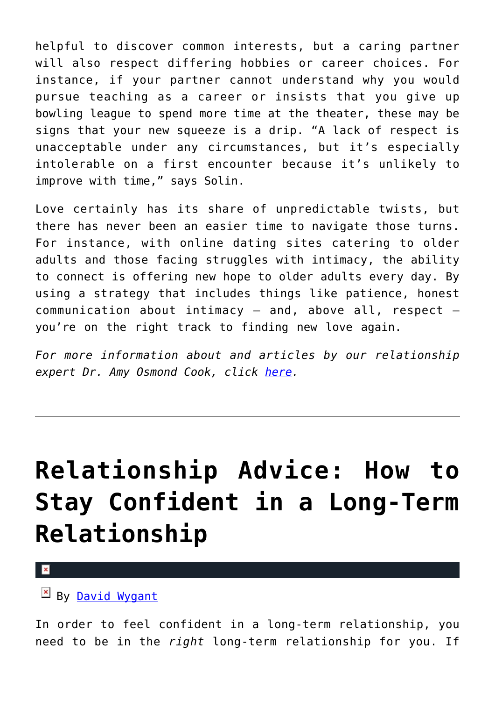helpful to discover common interests, but a caring partner will also respect differing hobbies or career choices. For instance, if your partner cannot understand why you would pursue teaching as a career or insists that you give up bowling league to spend more time at the theater, these may be signs that your new squeeze is a drip. "A lack of respect is unacceptable under any circumstances, but it's especially intolerable on a first encounter because it's unlikely to improve with time," says Solin.

Love certainly has its share of unpredictable twists, but there has never been an easier time to navigate those turns. For instance, with online dating sites catering to older adults and those facing struggles with intimacy, the ability to connect is offering new hope to older adults every day. By using a strategy that includes things like patience, honest communication about intimacy  $-$  and, above all, respect  $$ you're on the right track to finding new love again.

*For more information about and articles by our relationship expert Dr. Amy Osmond Cook, click [here](http://cupidspulse.com/relationship-dating-experts/hope-after-divorce-relationship-experts/).*

## **[Relationship Advice: How to](https://cupidspulse.com/123083/relationship-advice-how-to-stay-confident-in-a-long-term-relationship/) [Stay Confident in a Long-Term](https://cupidspulse.com/123083/relationship-advice-how-to-stay-confident-in-a-long-term-relationship/) [Relationship](https://cupidspulse.com/123083/relationship-advice-how-to-stay-confident-in-a-long-term-relationship/)**

 $\pmb{\times}$ 

### By [David Wygant](http://cupidspulse.com/relationship-experts/david-wygant/)

In order to feel confident in a long-term relationship, you need to be in the *right* long-term relationship for you. If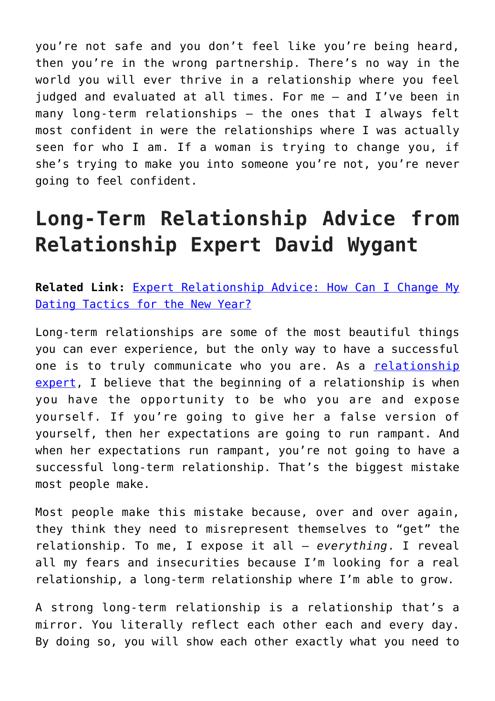you're not safe and you don't feel like you're being heard, then you're in the wrong partnership. There's no way in the world you will ever thrive in a relationship where you feel judged and evaluated at all times. For me — and I've been in many long-term relationships — the ones that I always felt most confident in were the relationships where I was actually seen for who I am. If a woman is trying to change you, if she's trying to make you into someone you're not, you're never going to feel confident.

### **Long-Term Relationship Advice from Relationship Expert David Wygant**

**Related Link:** [Expert Relationship Advice: How Can I Change My](http://cupidspulse.com/122306/expert-dating-advice-change-my-dating-tactics-for-the-new-year/) [Dating Tactics for the New Year?](http://cupidspulse.com/122306/expert-dating-advice-change-my-dating-tactics-for-the-new-year/)

Long-term relationships are some of the most beautiful things you can ever experience, but the only way to have a successful one is to truly communicate who you are. As a [relationship](http://cupidspulse.com/relationship-experts/) [expert,](http://cupidspulse.com/relationship-experts/) I believe that the beginning of a relationship is when you have the opportunity to be who you are and expose yourself. If you're going to give her a false version of yourself, then her expectations are going to run rampant. And when her expectations run rampant, you're not going to have a successful long-term relationship. That's the biggest mistake most people make.

Most people make this mistake because, over and over again, they think they need to misrepresent themselves to "get" the relationship. To me, I expose it all — *everything*. I reveal all my fears and insecurities because I'm looking for a real relationship, a long-term relationship where I'm able to grow.

A strong long-term relationship is a relationship that's a mirror. You literally reflect each other each and every day. By doing so, you will show each other exactly what you need to